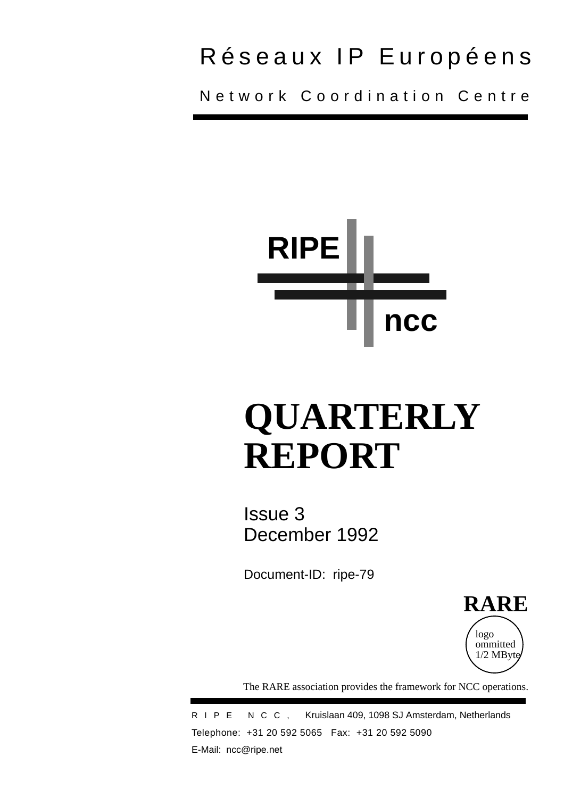## Réseaux IP Européens

Network Coordination Centre



# **QUARTERLY REPORT**

Issue 3 December 1992

Document-ID: ripe-79



The RARE association provides the framework for NCC operations.

RIPE NCC, Kruislaan 409, 1098 SJ Amsterdam, Netherlands Telephone: +31 20 592 5065 Fax: +31 20 592 5090 E-Mail: ncc@ripe.net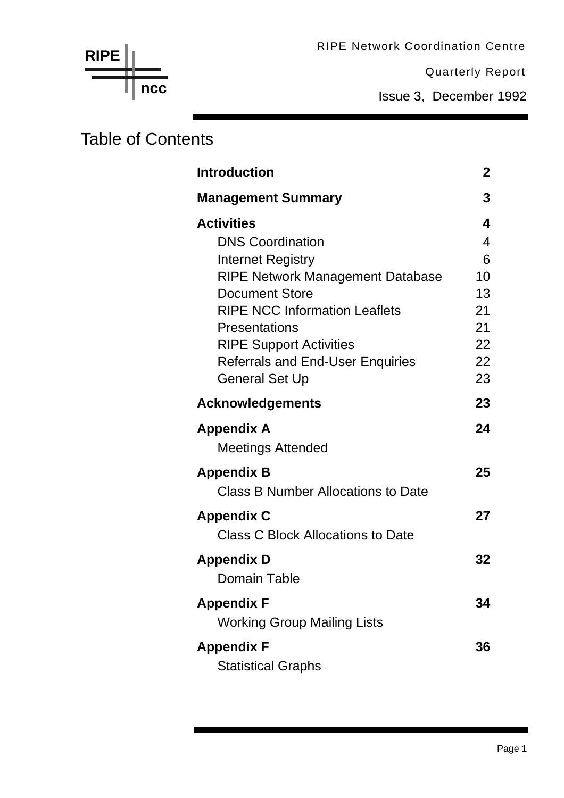RIPE Network Coordination Centre

Quarterly Report

Issue 3, December 1992

### Table of Contents

**ncc**

| <b>Introduction</b>                       | 2  |
|-------------------------------------------|----|
| <b>Management Summary</b>                 | 3  |
| <b>Activities</b>                         | 4  |
| <b>DNS Coordination</b>                   | 4  |
| Internet Registry                         | 6  |
| <b>RIPE Network Management Database</b>   | 10 |
| <b>Document Store</b>                     | 13 |
| <b>RIPE NCC Information Leaflets</b>      | 21 |
| <b>Presentations</b>                      | 21 |
| <b>RIPE Support Activities</b>            | 22 |
| <b>Referrals and End-User Enquiries</b>   | 22 |
| <b>General Set Up</b>                     | 23 |
| <b>Acknowledgements</b>                   | 23 |
| <b>Appendix A</b>                         | 24 |
| <b>Meetings Attended</b>                  |    |
| <b>Appendix B</b>                         | 25 |
| <b>Class B Number Allocations to Date</b> |    |
| <b>Appendix C</b>                         | 27 |
| <b>Class C Block Allocations to Date</b>  |    |
| <b>Appendix D</b>                         | 32 |
| <b>Domain Table</b>                       |    |
| <b>Appendix F</b>                         | 34 |
| <b>Working Group Mailing Lists</b>        |    |
| <b>Appendix F</b>                         | 36 |
| <b>Statistical Graphs</b>                 |    |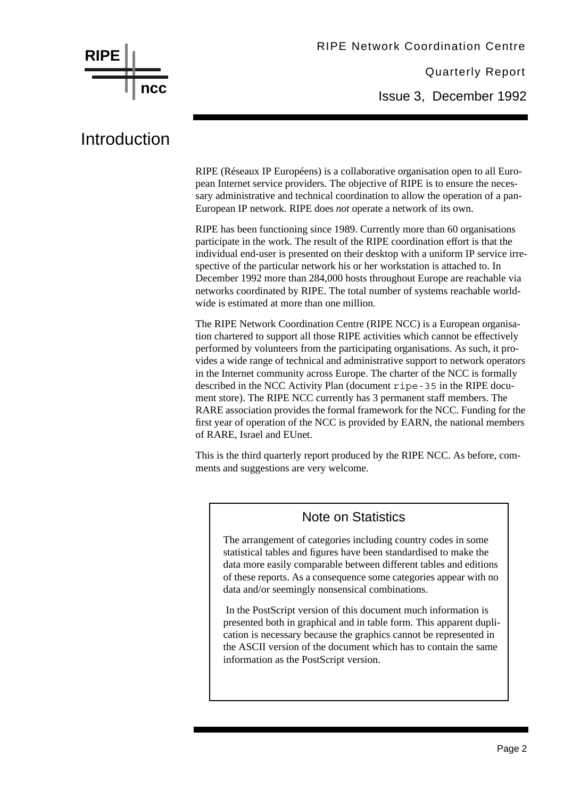

### Introduction

RIPE (Réseaux IP Européens) is a collaborative organisation open to all European Internet service providers. The objective of RIPE is to ensure the necessary administrative and technical coordination to allow the operation of a pan-European IP network. RIPE does *not* operate a network of its own.

RIPE has been functioning since 1989. Currently more than 60 organisations participate in the work. The result of the RIPE coordination effort is that the individual end-user is presented on their desktop with a uniform IP service irrespective of the particular network his or her workstation is attached to. In December 1992 more than 284,000 hosts throughout Europe are reachable via networks coordinated by RIPE. The total number of systems reachable worldwide is estimated at more than one million.

The RIPE Network Coordination Centre (RIPE NCC) is a European organisation chartered to support all those RIPE activities which cannot be effectively performed by volunteers from the participating organisations. As such, it provides a wide range of technical and administrative support to network operators in the Internet community across Europe. The charter of the NCC is formally described in the NCC Activity Plan (document ripe-35 in the RIPE document store). The RIPE NCC currently has 3 permanent staff members. The RARE association provides the formal framework for the NCC. Funding for the first year of operation of the NCC is provided by EARN, the national members of RARE, Israel and EUnet.

This is the third quarterly report produced by the RIPE NCC. As before, comments and suggestions are very welcome.

#### Note on Statistics

The arrangement of categories including country codes in some statistical tables and figures have been standardised to make the data more easily comparable between different tables and editions of these reports. As a consequence some categories appear with no data and/or seemingly nonsensical combinations.

 In the PostScript version of this document much information is presented both in graphical and in table form. This apparent duplication is necessary because the graphics cannot be represented in the ASCII version of the document which has to contain the same information as the PostScript version.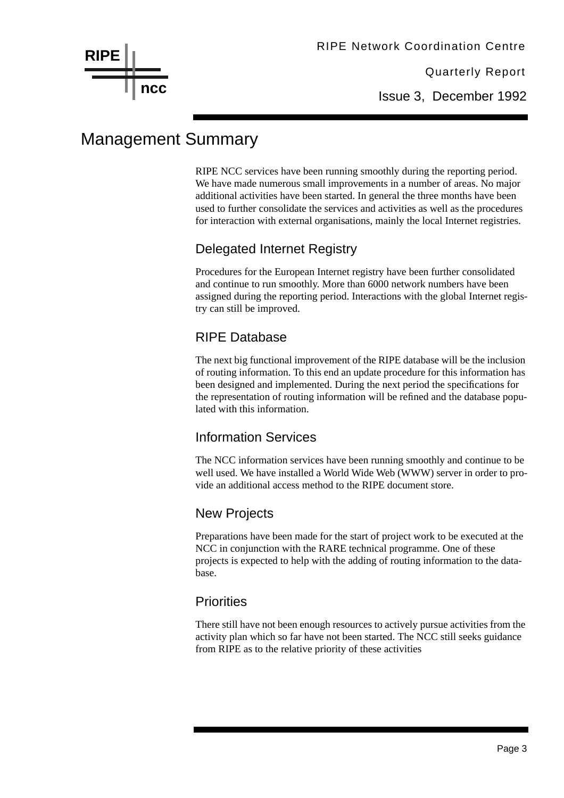

Issue 3, December 1992

### Management Summary

RIPE NCC services have been running smoothly during the reporting period. We have made numerous small improvements in a number of areas. No major additional activities have been started. In general the three months have been used to further consolidate the services and activities as well as the procedures for interaction with external organisations, mainly the local Internet registries.

#### Delegated Internet Registry

Procedures for the European Internet registry have been further consolidated and continue to run smoothly. More than 6000 network numbers have been assigned during the reporting period. Interactions with the global Internet registry can still be improved.

#### RIPE Database

The next big functional improvement of the RIPE database will be the inclusion of routing information. To this end an update procedure for this information has been designed and implemented. During the next period the specifications for the representation of routing information will be refined and the database populated with this information.

#### Information Services

The NCC information services have been running smoothly and continue to be well used. We have installed a World Wide Web (WWW) server in order to provide an additional access method to the RIPE document store.

#### New Projects

Preparations have been made for the start of project work to be executed at the NCC in conjunction with the RARE technical programme. One of these projects is expected to help with the adding of routing information to the database.

#### **Priorities**

There still have not been enough resources to actively pursue activities from the activity plan which so far have not been started. The NCC still seeks guidance from RIPE as to the relative priority of these activities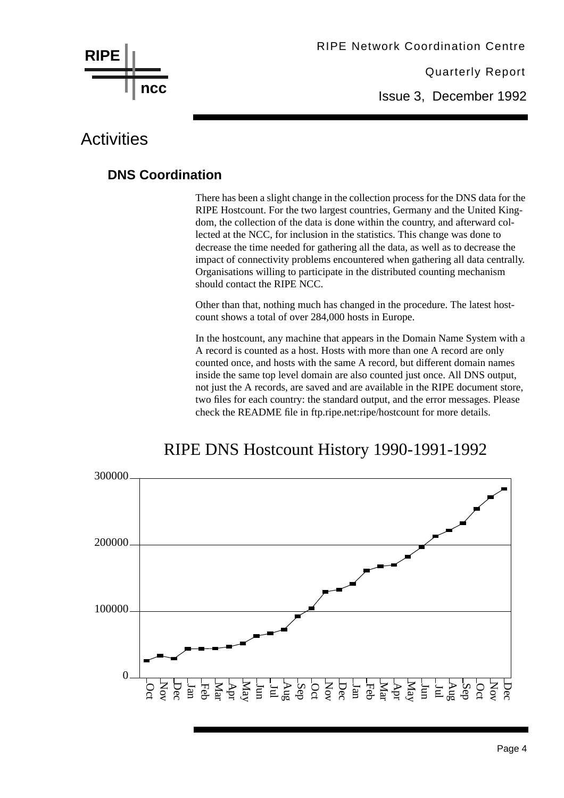

Issue 3, December 1992

### **Activities**

#### **DNS Coordination**

There has been a slight change in the collection process for the DNS data for the RIPE Hostcount. For the two largest countries, Germany and the United Kingdom, the collection of the data is done within the country, and afterward collected at the NCC, for inclusion in the statistics. This change was done to decrease the time needed for gathering all the data, as well as to decrease the impact of connectivity problems encountered when gathering all data centrally. Organisations willing to participate in the distributed counting mechanism should contact the RIPE NCC.

Other than that, nothing much has changed in the procedure. The latest hostcount shows a total of over 284,000 hosts in Europe.

In the hostcount, any machine that appears in the Domain Name System with a A record is counted as a host. Hosts with more than one A record are only counted once, and hosts with the same A record, but different domain names inside the same top level domain are also counted just once. All DNS output, not just the A records, are saved and are available in the RIPE document store, two files for each country: the standard output, and the error messages. Please check the README file in ftp.ripe.net:ripe/hostcount for more details.



### RIPE DNS Hostcount History 1990-1991-1992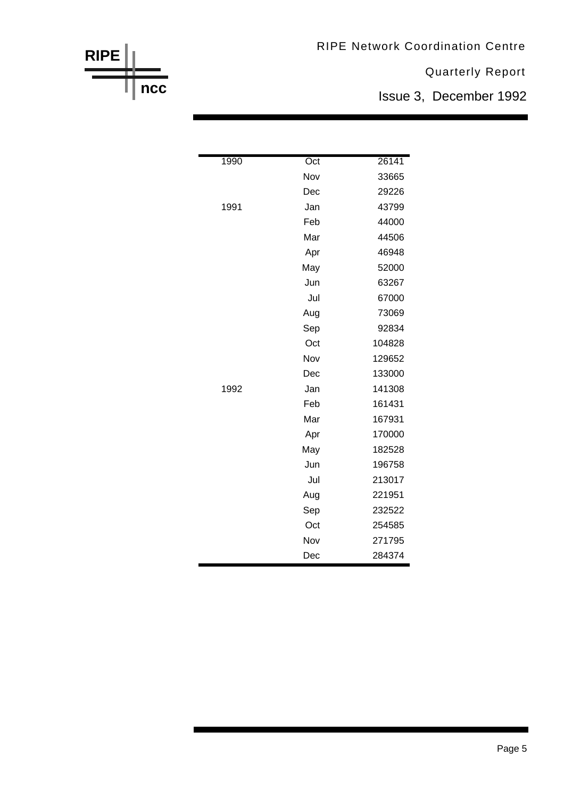RIPE Network Coordination Centre

Quarterly Report

Issue 3, December 1992

| 1990 | Oct | 26141  |
|------|-----|--------|
|      | Nov | 33665  |
|      | Dec | 29226  |
| 1991 | Jan | 43799  |
|      | Feb | 44000  |
|      | Mar | 44506  |
|      | Apr | 46948  |
|      | May | 52000  |
|      | Jun | 63267  |
|      | Jul | 67000  |
|      | Aug | 73069  |
|      | Sep | 92834  |
|      | Oct | 104828 |
|      | Nov | 129652 |
|      | Dec | 133000 |
| 1992 | Jan | 141308 |
|      | Feb | 161431 |
|      | Mar | 167931 |
|      | Apr | 170000 |
|      | May | 182528 |
|      | Jun | 196758 |
|      | Jul | 213017 |
|      | Aug | 221951 |
|      | Sep | 232522 |
|      | Oct | 254585 |
|      | Nov | 271795 |
|      | Dec | 284374 |

**RIPE**

**ncc**

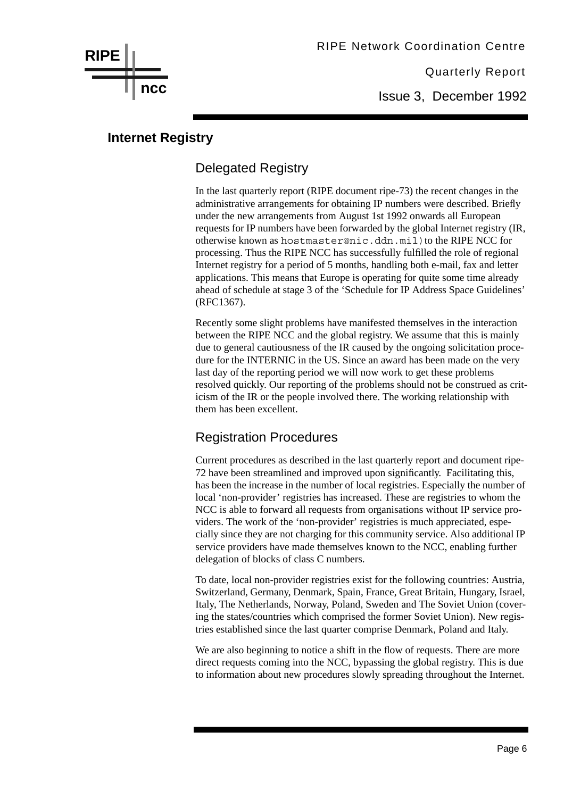Issue 3, December 1992

#### **Internet Registry**

**ncc**

**RIPE**

#### Delegated Registry

In the last quarterly report (RIPE document ripe-73) the recent changes in the administrative arrangements for obtaining IP numbers were described. Briefly under the new arrangements from August 1st 1992 onwards all European requests for IP numbers have been forwarded by the global Internet registry (IR, otherwise known as hostmaster@nic.ddn.mil) to the RIPE NCC for processing. Thus the RIPE NCC has successfully fulfilled the role of regional Internet registry for a period of 5 months, handling both e-mail, fax and letter applications. This means that Europe is operating for quite some time already ahead of schedule at stage 3 of the 'Schedule for IP Address Space Guidelines' (RFC1367).

Recently some slight problems have manifested themselves in the interaction between the RIPE NCC and the global registry. We assume that this is mainly due to general cautiousness of the IR caused by the ongoing solicitation procedure for the INTERNIC in the US. Since an award has been made on the very last day of the reporting period we will now work to get these problems resolved quickly. Our reporting of the problems should not be construed as criticism of the IR or the people involved there. The working relationship with them has been excellent.

#### Registration Procedures

Current procedures as described in the last quarterly report and document ripe-72 have been streamlined and improved upon significantly. Facilitating this, has been the increase in the number of local registries. Especially the number of local 'non-provider' registries has increased. These are registries to whom the NCC is able to forward all requests from organisations without IP service providers. The work of the 'non-provider' registries is much appreciated, especially since they are not charging for this community service. Also additional IP service providers have made themselves known to the NCC, enabling further delegation of blocks of class C numbers.

To date, local non-provider registries exist for the following countries: Austria, Switzerland, Germany, Denmark, Spain, France, Great Britain, Hungary, Israel, Italy, The Netherlands, Norway, Poland, Sweden and The Soviet Union (covering the states/countries which comprised the former Soviet Union). New registries established since the last quarter comprise Denmark, Poland and Italy.

We are also beginning to notice a shift in the flow of requests. There are more direct requests coming into the NCC, bypassing the global registry. This is due to information about new procedures slowly spreading throughout the Internet.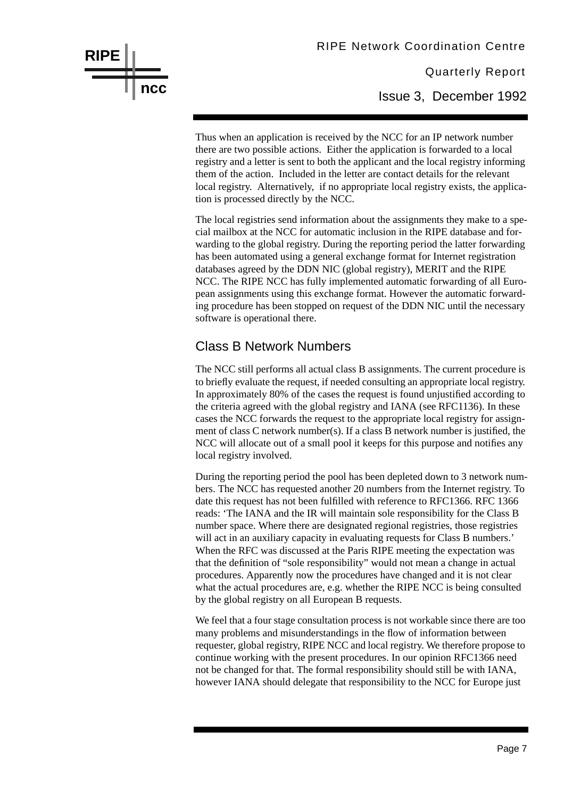Thus when an application is received by the NCC for an IP network number there are two possible actions. Either the application is forwarded to a local registry and a letter is sent to both the applicant and the local registry informing them of the action. Included in the letter are contact details for the relevant local registry. Alternatively, if no appropriate local registry exists, the application is processed directly by the NCC.

The local registries send information about the assignments they make to a special mailbox at the NCC for automatic inclusion in the RIPE database and forwarding to the global registry. During the reporting period the latter forwarding has been automated using a general exchange format for Internet registration databases agreed by the DDN NIC (global registry), MERIT and the RIPE NCC. The RIPE NCC has fully implemented automatic forwarding of all European assignments using this exchange format. However the automatic forwarding procedure has been stopped on request of the DDN NIC until the necessary software is operational there.

#### Class B Network Numbers

**RIPE**

**ncc**

The NCC still performs all actual class B assignments. The current procedure is to briefly evaluate the request, if needed consulting an appropriate local registry. In approximately 80% of the cases the request is found unjustified according to the criteria agreed with the global registry and IANA (see RFC1136). In these cases the NCC forwards the request to the appropriate local registry for assignment of class C network number(s). If a class B network number is justified, the NCC will allocate out of a small pool it keeps for this purpose and notifies any local registry involved.

During the reporting period the pool has been depleted down to 3 network numbers. The NCC has requested another 20 numbers from the Internet registry. To date this request has not been fulfilled with reference to RFC1366. RFC 1366 reads: 'The IANA and the IR will maintain sole responsibility for the Class B number space. Where there are designated regional registries, those registries will act in an auxiliary capacity in evaluating requests for Class B numbers.' When the RFC was discussed at the Paris RIPE meeting the expectation was that the definition of "sole responsibility" would not mean a change in actual procedures. Apparently now the procedures have changed and it is not clear what the actual procedures are, e.g. whether the RIPE NCC is being consulted by the global registry on all European B requests.

We feel that a four stage consultation process is not workable since there are too many problems and misunderstandings in the flow of information between requester, global registry, RIPE NCC and local registry. We therefore propose to continue working with the present procedures. In our opinion RFC1366 need not be changed for that. The formal responsibility should still be with IANA, however IANA should delegate that responsibility to the NCC for Europe just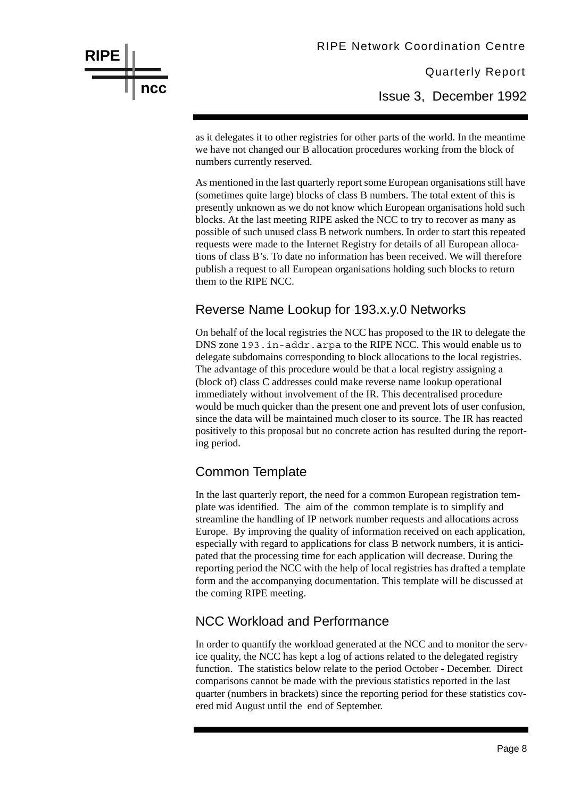Issue 3, December 1992

as it delegates it to other registries for other parts of the world. In the meantime we have not changed our B allocation procedures working from the block of numbers currently reserved.

As mentioned in the last quarterly report some European organisations still have (sometimes quite large) blocks of class B numbers. The total extent of this is presently unknown as we do not know which European organisations hold such blocks. At the last meeting RIPE asked the NCC to try to recover as many as possible of such unused class B network numbers. In order to start this repeated requests were made to the Internet Registry for details of all European allocations of class B's. To date no information has been received. We will therefore publish a request to all European organisations holding such blocks to return them to the RIPE NCC.

#### Reverse Name Lookup for 193.x.y.0 Networks

On behalf of the local registries the NCC has proposed to the IR to delegate the DNS zone 193.in-addr.arpa to the RIPE NCC. This would enable us to delegate subdomains corresponding to block allocations to the local registries. The advantage of this procedure would be that a local registry assigning a (block of) class C addresses could make reverse name lookup operational immediately without involvement of the IR. This decentralised procedure would be much quicker than the present one and prevent lots of user confusion, since the data will be maintained much closer to its source. The IR has reacted positively to this proposal but no concrete action has resulted during the reporting period.

#### Common Template

**RIPE**

**ncc**

In the last quarterly report, the need for a common European registration template was identified. The aim of the common template is to simplify and streamline the handling of IP network number requests and allocations across Europe. By improving the quality of information received on each application, especially with regard to applications for class B network numbers, it is anticipated that the processing time for each application will decrease. During the reporting period the NCC with the help of local registries has drafted a template form and the accompanying documentation. This template will be discussed at the coming RIPE meeting.

#### NCC Workload and Performance

In order to quantify the workload generated at the NCC and to monitor the service quality, the NCC has kept a log of actions related to the delegated registry function. The statistics below relate to the period October - December. Direct comparisons cannot be made with the previous statistics reported in the last quarter (numbers in brackets) since the reporting period for these statistics covered mid August until the end of September.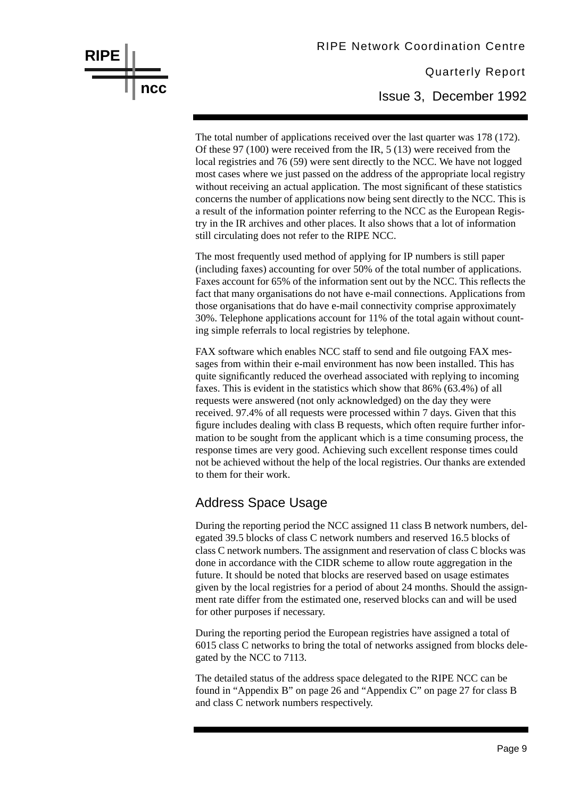### Quarterly Report RIPE Network Coordination Centre Issue 3, December 1992

The total number of applications received over the last quarter was 178 (172). Of these 97 (100) were received from the IR, 5 (13) were received from the local registries and 76 (59) were sent directly to the NCC. We have not logged most cases where we just passed on the address of the appropriate local registry without receiving an actual application. The most significant of these statistics concerns the number of applications now being sent directly to the NCC. This is a result of the information pointer referring to the NCC as the European Registry in the IR archives and other places. It also shows that a lot of information still circulating does not refer to the RIPE NCC.

The most frequently used method of applying for IP numbers is still paper (including faxes) accounting for over 50% of the total number of applications. Faxes account for 65% of the information sent out by the NCC. This reflects the fact that many organisations do not have e-mail connections. Applications from those organisations that do have e-mail connectivity comprise approximately 30%. Telephone applications account for 11% of the total again without counting simple referrals to local registries by telephone.

FAX software which enables NCC staff to send and file outgoing FAX messages from within their e-mail environment has now been installed. This has quite significantly reduced the overhead associated with replying to incoming faxes. This is evident in the statistics which show that 86% (63.4%) of all requests were answered (not only acknowledged) on the day they were received. 97.4% of all requests were processed within 7 days. Given that this figure includes dealing with class B requests, which often require further information to be sought from the applicant which is a time consuming process, the response times are very good. Achieving such excellent response times could not be achieved without the help of the local registries. Our thanks are extended to them for their work.

#### Address Space Usage

**RIPE**

**ncc**

During the reporting period the NCC assigned 11 class B network numbers, delegated 39.5 blocks of class C network numbers and reserved 16.5 blocks of class C network numbers. The assignment and reservation of class C blocks was done in accordance with the CIDR scheme to allow route aggregation in the future. It should be noted that blocks are reserved based on usage estimates given by the local registries for a period of about 24 months. Should the assignment rate differ from the estimated one, reserved blocks can and will be used for other purposes if necessary.

During the reporting period the European registries have assigned a total of 6015 class C networks to bring the total of networks assigned from blocks delegated by the NCC to 7113.

The detailed status of the address space delegated to the RIPE NCC can be found in "Appendix B" on page 26 and "Appendix C" on page 27 for class B and class C network numbers respectively.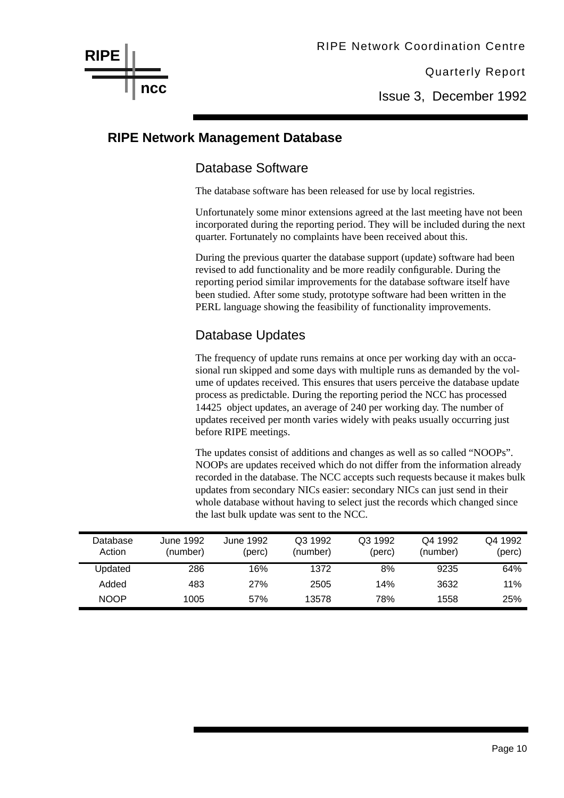Issue 3, December 1992

#### **RIPE Network Management Database**

#### Database Software

The database software has been released for use by local registries.

Unfortunately some minor extensions agreed at the last meeting have not been incorporated during the reporting period. They will be included during the next quarter. Fortunately no complaints have been received about this.

During the previous quarter the database support (update) software had been revised to add functionality and be more readily configurable. During the reporting period similar improvements for the database software itself have been studied. After some study, prototype software had been written in the PERL language showing the feasibility of functionality improvements.

#### Database Updates

The frequency of update runs remains at once per working day with an occasional run skipped and some days with multiple runs as demanded by the volume of updates received. This ensures that users perceive the database update process as predictable. During the reporting period the NCC has processed 14425 object updates, an average of 240 per working day. The number of updates received per month varies widely with peaks usually occurring just before RIPE meetings.

The updates consist of additions and changes as well as so called "NOOPs". NOOPs are updates received which do not differ from the information already recorded in the database. The NCC accepts such requests because it makes bulk updates from secondary NICs easier: secondary NICs can just send in their whole database without having to select just the records which changed since the last bulk update was sent to the NCC.

| Database<br>Action | June 1992<br>(number) | June 1992<br>(perc) | Q3 1992<br>(number) | Q3 1992<br>(perc) | Q4 1992<br>(number) | Q4 1992<br>(perc) |
|--------------------|-----------------------|---------------------|---------------------|-------------------|---------------------|-------------------|
| Updated            | 286                   | 16%                 | 1372                | 8%                | 9235                | 64%               |
| Added              | 483                   | 27%                 | 2505                | 14%               | 3632                | 11%               |
| <b>NOOP</b>        | 1005                  | 57%                 | 13578               | 78%               | 1558                | 25%               |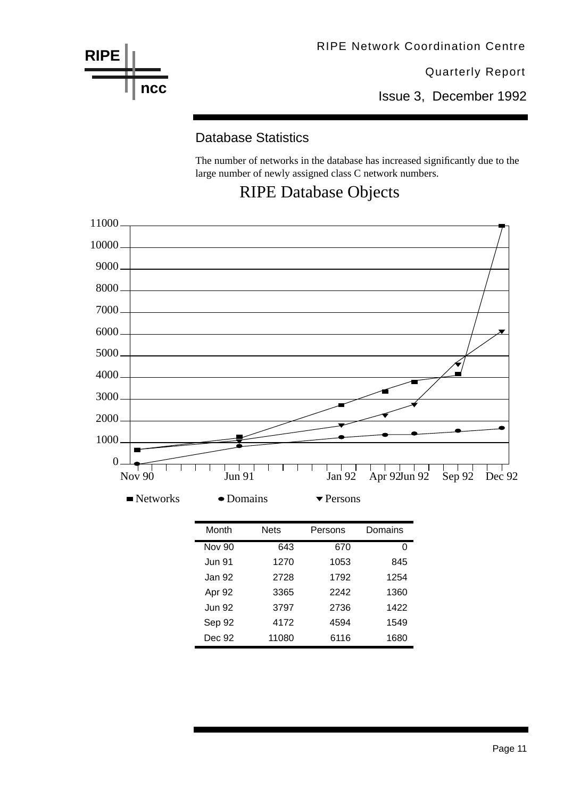

Issue 3, December 1992

#### Database Statistics

The number of networks in the database has increased significantly due to the large number of newly assigned class C network numbers.

### RIPE Database Objects



| Month         | <b>Nets</b> | Persons | Domains |
|---------------|-------------|---------|---------|
| <b>Nov 90</b> | 643         | 670     | n       |
| <b>Jun 91</b> | 1270        | 1053    | 845     |
| Jan 92        | 2728        | 1792    | 1254    |
| Apr 92        | 3365        | 2242    | 1360    |
| <b>Jun 92</b> | 3797        | 2736    | 1422    |
| Sep 92        | 4172        | 4594    | 1549    |
| Dec 92        | 11080       | 6116    | 1680    |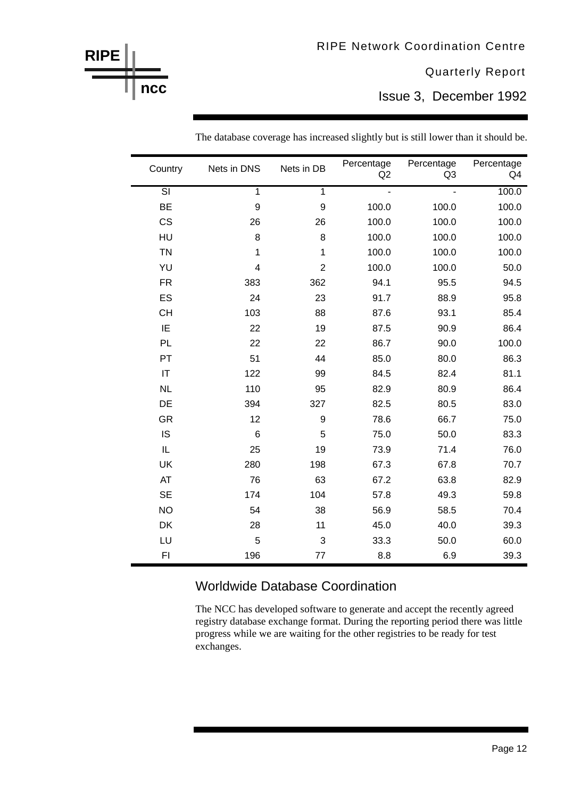Issue 3, December 1992

| Country                | Nets in DNS             | Nets in DB                | Percentage<br>Q2 | Percentage<br>Q <sub>3</sub> | Percentage<br>Q4 |
|------------------------|-------------------------|---------------------------|------------------|------------------------------|------------------|
| $\overline{\text{SI}}$ | $\overline{1}$          | $\overline{1}$            | L.               | $\overline{a}$               | 100.0            |
| <b>BE</b>              | 9                       | 9                         | 100.0            | 100.0                        | 100.0            |
| <b>CS</b>              | 26                      | 26                        | 100.0            | 100.0                        | 100.0            |
| HU                     | 8                       | 8                         | 100.0            | 100.0                        | 100.0            |
| <b>TN</b>              | $\mathbf 1$             | 1                         | 100.0            | 100.0                        | 100.0            |
| YU                     | $\overline{\mathbf{4}}$ | $\overline{2}$            | 100.0            | 100.0                        | 50.0             |
| <b>FR</b>              | 383                     | 362                       | 94.1             | 95.5                         | 94.5             |
| ES                     | 24                      | 23                        | 91.7             | 88.9                         | 95.8             |
| <b>CH</b>              | 103                     | 88                        | 87.6             | 93.1                         | 85.4             |
| IE                     | 22                      | 19                        | 87.5             | 90.9                         | 86.4             |
| PL                     | 22                      | 22                        | 86.7             | 90.0                         | 100.0            |
| PT                     | 51                      | 44                        | 85.0             | 80.0                         | 86.3             |
| $\mathsf{I}\mathsf{T}$ | 122                     | 99                        | 84.5             | 82.4                         | 81.1             |
| NL                     | 110                     | 95                        | 82.9             | 80.9                         | 86.4             |
| DE                     | 394                     | 327                       | 82.5             | 80.5                         | 83.0             |
| GR                     | 12                      | $\boldsymbol{9}$          | 78.6             | 66.7                         | 75.0             |
| <b>IS</b>              | 6                       | 5                         | 75.0             | 50.0                         | 83.3             |
| $\mathsf{IL}$          | 25                      | 19                        | 73.9             | 71.4                         | 76.0             |
| UK                     | 280                     | 198                       | 67.3             | 67.8                         | 70.7             |
| AT                     | 76                      | 63                        | 67.2             | 63.8                         | 82.9             |
| <b>SE</b>              | 174                     | 104                       | 57.8             | 49.3                         | 59.8             |
| <b>NO</b>              | 54                      | 38                        | 56.9             | 58.5                         | 70.4             |
| DK                     | 28                      | 11                        | 45.0             | 40.0                         | 39.3             |
| LU                     | 5                       | $\ensuremath{\mathsf{3}}$ | 33.3             | 50.0                         | 60.0             |
| F1                     | 196                     | 77                        | 8.8              | 6.9                          | 39.3             |

The database coverage has increased slightly but is still lower than it should be.

**RIPE**

**ncc**

#### Worldwide Database Coordination

The NCC has developed software to generate and accept the recently agreed registry database exchange format. During the reporting period there was little progress while we are waiting for the other registries to be ready for test exchanges.

Page 12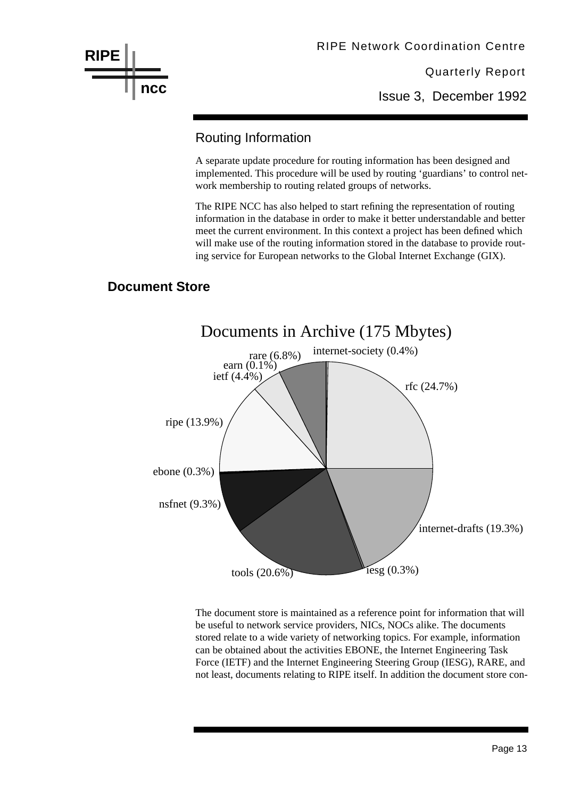

Issue 3, December 1992

#### Routing Information

A separate update procedure for routing information has been designed and implemented. This procedure will be used by routing 'guardians' to control network membership to routing related groups of networks.

The RIPE NCC has also helped to start refining the representation of routing information in the database in order to make it better understandable and better meet the current environment. In this context a project has been defined which will make use of the routing information stored in the database to provide routing service for European networks to the Global Internet Exchange (GIX).

#### **Document Store**



The document store is maintained as a reference point for information that will be useful to network service providers, NICs, NOCs alike. The documents stored relate to a wide variety of networking topics. For example, information can be obtained about the activities EBONE, the Internet Engineering Task Force (IETF) and the Internet Engineering Steering Group (IESG), RARE, and not least, documents relating to RIPE itself. In addition the document store con-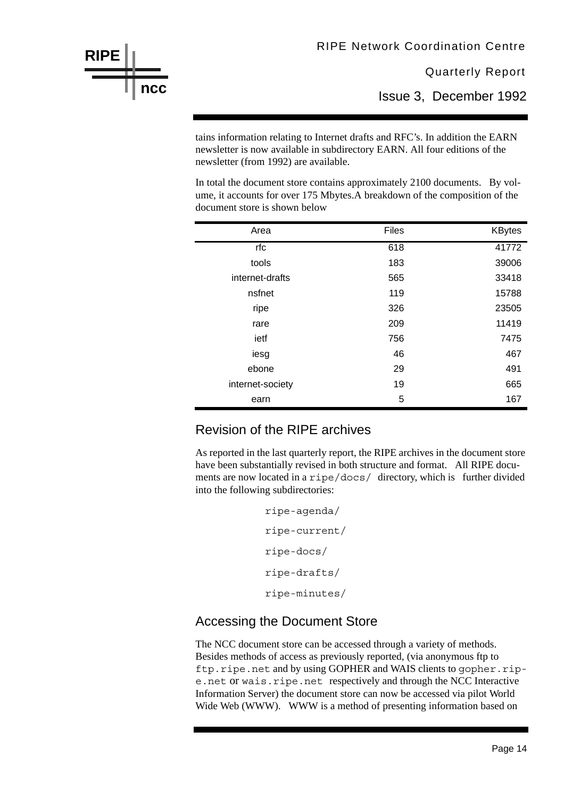Issue 3, December 1992

tains information relating to Internet drafts and RFC's. In addition the EARN newsletter is now available in subdirectory EARN. All four editions of the newsletter (from 1992) are available.

In total the document store contains approximately 2100 documents. By volume, it accounts for over 175 Mbytes.A breakdown of the composition of the document store is shown below

| Area             | <b>Files</b> | <b>KBytes</b> |
|------------------|--------------|---------------|
| rfc              | 618          | 41772         |
| tools            | 183          | 39006         |
| internet-drafts  | 565          | 33418         |
| nsfnet           | 119          | 15788         |
| ripe             | 326          | 23505         |
| rare             | 209          | 11419         |
| ietf             | 756          | 7475          |
| iesg             | 46           | 467           |
| ebone            | 29           | 491           |
| internet-society | 19           | 665           |
| earn             | 5            | 167           |

#### Revision of the RIPE archives

**RIPE**

**ncc**

As reported in the last quarterly report, the RIPE archives in the document store have been substantially revised in both structure and format. All RIPE documents are now located in a ripe/docs/ directory, which is further divided into the following subdirectories:

```
ripe-agenda/
ripe-current/
ripe-docs/
ripe-drafts/
ripe-minutes/
```
#### Accessing the Document Store

The NCC document store can be accessed through a variety of methods. Besides methods of access as previously reported, (via anonymous ftp to ftp.ripe.net and by using GOPHER and WAIS clients to gopher.ripe.net or wais.ripe.net respectively and through the NCC Interactive Information Server) the document store can now be accessed via pilot World Wide Web (WWW). WWW is a method of presenting information based on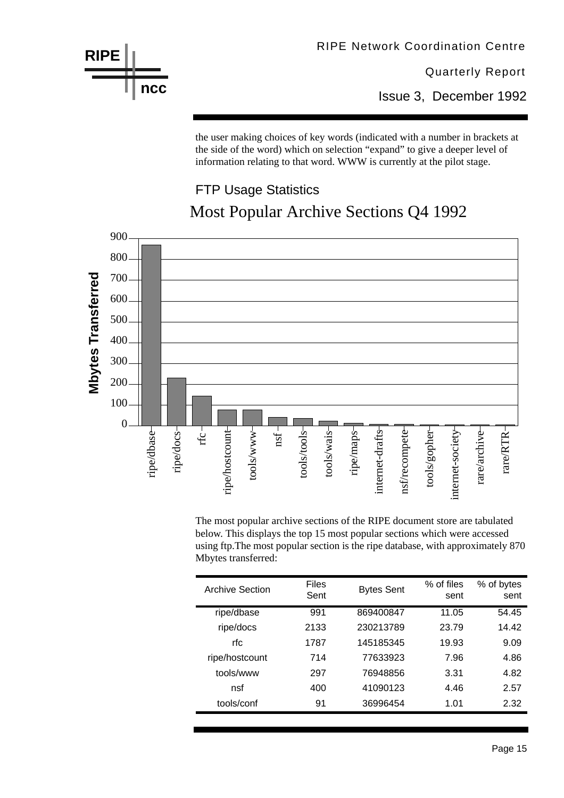

Issue 3, December 1992

the user making choices of key words (indicated with a number in brackets at the side of the word) which on selection "expand" to give a deeper level of information relating to that word. WWW is currently at the pilot stage.

### FTP Usage Statistics Most Popular Archive Sections Q4 1992



The most popular archive sections of the RIPE document store are tabulated below. This displays the top 15 most popular sections which were accessed using ftp.The most popular section is the ripe database, with approximately 870 Mbytes transferred:

| <b>Archive Section</b> | <b>Files</b><br>Sent | <b>Bytes Sent</b> | % of files<br>sent | % of bytes<br>sent |
|------------------------|----------------------|-------------------|--------------------|--------------------|
| ripe/dbase             | 991                  | 869400847         | 11.05              | 54.45              |
| ripe/docs              | 2133                 | 230213789         | 23.79              | 14.42              |
| rfc                    | 1787                 | 145185345         | 19.93              | 9.09               |
| ripe/hostcount         | 714                  | 77633923          | 7.96               | 4.86               |
| tools/www              | 297                  | 76948856          | 3.31               | 4.82               |
| nsf                    | 400                  | 41090123          | 4.46               | 2.57               |
| tools/conf             | 91                   | 36996454          | 1.01               | 2.32               |

Page 15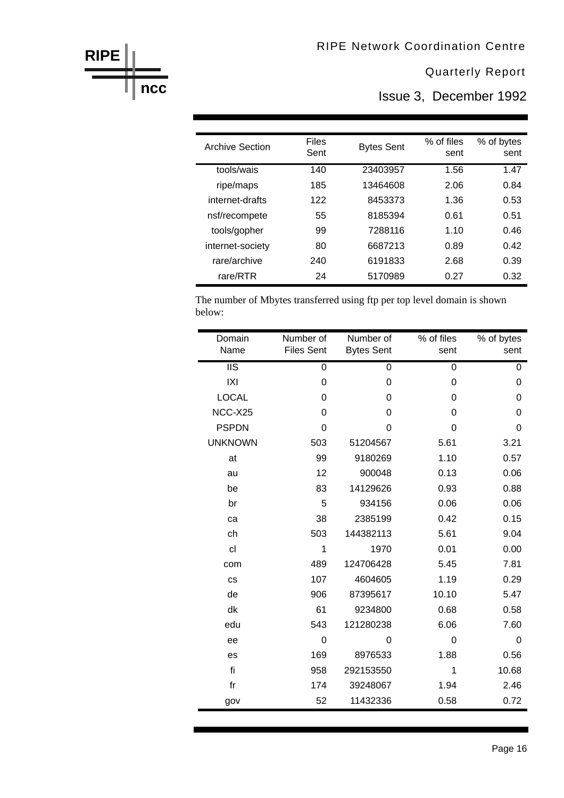Issue 3, December 1992

| <b>Archive Section</b> | <b>Files</b><br>Sent | <b>Bytes Sent</b> | % of files<br>sent | % of bytes<br>sent |
|------------------------|----------------------|-------------------|--------------------|--------------------|
| tools/wais             | 140                  | 23403957          | 1.56               | 1.47               |
| ripe/maps              | 185                  | 13464608          | 2.06               | 0.84               |
| internet-drafts        | 122                  | 8453373           | 1.36               | 0.53               |
| nsf/recompete          | 55                   | 8185394           | 0.61               | 0.51               |
| tools/gopher           | 99                   | 7288116           | 1.10               | 0.46               |
| internet-society       | 80                   | 6687213           | 0.89               | 0.42               |
| rare/archive           | 240                  | 6191833           | 2.68               | 0.39               |
| rare/RTR               | 24                   | 5170989           | 0.27               | 0.32               |

**RIPE** 

**ncc** 

The number of Mbytes transferred using ftp per top level domain is shown below:

| Domain                   | Number of         | Number of         | % of files     | % of bytes     |
|--------------------------|-------------------|-------------------|----------------|----------------|
| Name                     | <b>Files Sent</b> | <b>Bytes Sent</b> | sent           | sent           |
| $\overline{\text{II}}$ s | $\overline{0}$    | $\overline{0}$    | $\overline{0}$ | 0              |
| X                        | $\mathbf 0$       | 0                 | 0              | $\Omega$       |
| <b>LOCAL</b>             | 0                 | 0                 | 0              | 0              |
| NCC-X25                  | 0                 | 0                 | 0              | $\overline{0}$ |
| <b>PSPDN</b>             | 0                 | 0                 | 0              | 0              |
| <b>UNKNOWN</b>           | 503               | 51204567          | 5.61           | 3.21           |
| at                       | 99                | 9180269           | 1.10           | 0.57           |
| au                       | 12                | 900048            | 0.13           | 0.06           |
| be                       | 83                | 14129626          | 0.93           | 0.88           |
| br                       | 5                 | 934156            | 0.06           | 0.06           |
| ca                       | 38                | 2385199           | 0.42           | 0.15           |
| ch                       | 503               | 144382113         | 5.61           | 9.04           |
| cl                       | 1                 | 1970              | 0.01           | 0.00           |
| com                      | 489               | 124706428         | 5.45           | 7.81           |
| <b>CS</b>                | 107               | 4604605           | 1.19           | 0.29           |
| de                       | 906               | 87395617          | 10.10          | 5.47           |
| dk                       | 61                | 9234800           | 0.68           | 0.58           |
| edu                      | 543               | 121280238         | 6.06           | 7.60           |
| ee                       | $\overline{0}$    | $\Omega$          | $\Omega$       | $\overline{0}$ |
| es                       | 169               | 8976533           | 1.88           | 0.56           |
| fi                       | 958               | 292153550         | 1              | 10.68          |
| f <sub>r</sub>           | 174               | 39248067          | 1.94           | 2.46           |
| gov                      | 52                | 11432336          | 0.58           | 0.72           |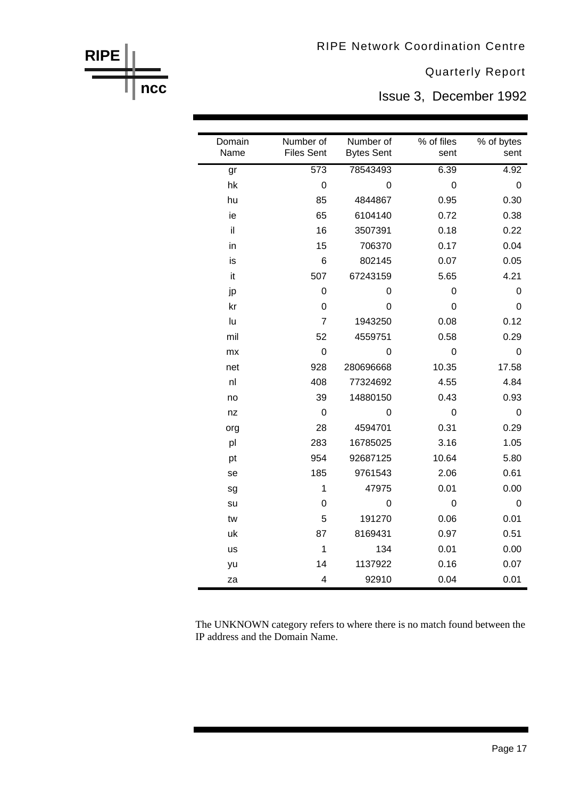**RIPE Network Coordination Centre** 

**Quarterly Report** 

Issue 3, December 1992

| Domain<br>Name | Number of<br><b>Files Sent</b> | Number of<br><b>Bytes Sent</b> | % of files<br>sent | % of bytes<br>sent |
|----------------|--------------------------------|--------------------------------|--------------------|--------------------|
|                |                                |                                |                    |                    |
| gr             | $\overline{573}$               | 78543493                       | 6.39               | 4.92               |
| hk             | $\overline{0}$                 | 0                              | $\mathbf 0$        | $\mathbf 0$        |
| hu             | 85                             | 4844867                        | 0.95               | 0.30               |
| ie             | 65                             | 6104140                        | 0.72               | 0.38               |
| il             | 16                             | 3507391                        | 0.18               | 0.22               |
| in             | 15                             | 706370                         | 0.17               | 0.04               |
| is             | 6                              | 802145                         | 0.07               | 0.05               |
| it             | 507                            | 67243159                       | 5.65               | 4.21               |
| jp             | $\mathbf 0$                    | 0                              | 0                  | 0                  |
| kr             | 0                              | $\mathbf 0$                    | 0                  | 0                  |
| lu             | $\overline{7}$                 | 1943250                        | 0.08               | 0.12               |
| mil            | 52                             | 4559751                        | 0.58               | 0.29               |
| mx             | $\mathbf 0$                    | 0                              | $\mathbf 0$        | $\overline{0}$     |
| net            | 928                            | 280696668                      | 10.35              | 17.58              |
| nl             | 408                            | 77324692                       | 4.55               | 4.84               |
| no             | 39                             | 14880150                       | 0.43               | 0.93               |
| nz             | $\mathbf 0$                    | $\mathbf 0$                    | $\mathbf 0$        | $\mathbf 0$        |
| org            | 28                             | 4594701                        | 0.31               | 0.29               |
| pl             | 283                            | 16785025                       | 3.16               | 1.05               |
| pt             | 954                            | 92687125                       | 10.64              | 5.80               |
| se             | 185                            | 9761543                        | 2.06               | 0.61               |
| sg             | $\mathbf{1}$                   | 47975                          | 0.01               | 0.00               |
| su             | 0                              | $\mathbf 0$                    | $\mathbf 0$        | $\mathbf 0$        |
| tw             | 5                              | 191270                         | 0.06               | 0.01               |
| uk             | 87                             | 8169431                        | 0.97               | 0.51               |
| <b>us</b>      | 1                              | 134                            | 0.01               | 0.00               |
| yu             | 14                             | 1137922                        | 0.16               | 0.07               |
| za             | 4                              | 92910                          | 0.04               | 0.01               |

The UNKNOWN category refers to where there is no match found between the IP address and the Domain Name.

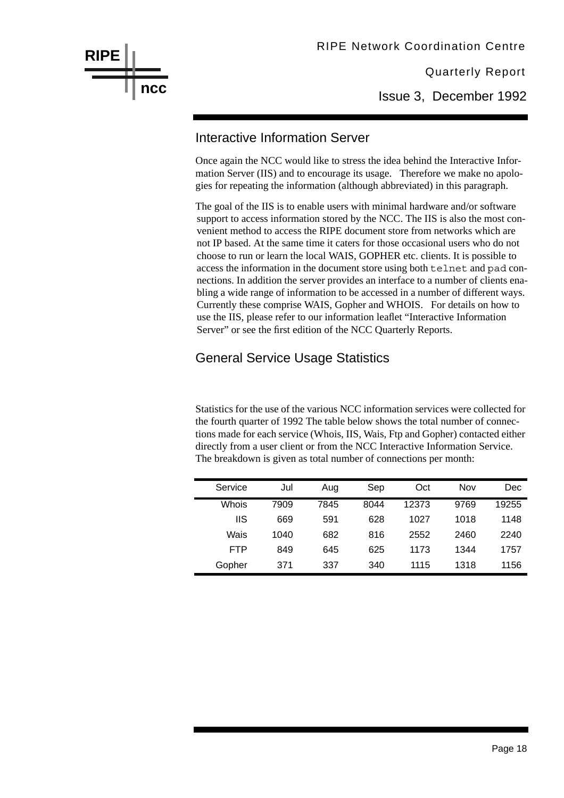

Issue 3, December 1992

#### Interactive Information Server

Once again the NCC would like to stress the idea behind the Interactive Information Server (IIS) and to encourage its usage. Therefore we make no apologies for repeating the information (although abbreviated) in this paragraph.

The goal of the IIS is to enable users with minimal hardware and/or software support to access information stored by the NCC. The IIS is also the most convenient method to access the RIPE document store from networks which are not IP based. At the same time it caters for those occasional users who do not choose to run or learn the local WAIS, GOPHER etc. clients. It is possible to access the information in the document store using both telnet and pad connections. In addition the server provides an interface to a number of clients enabling a wide range of information to be accessed in a number of different ways. Currently these comprise WAIS, Gopher and WHOIS. For details on how to use the IIS, please refer to our information leaflet "Interactive Information Server" or see the first edition of the NCC Quarterly Reports.

#### General Service Usage Statistics

Statistics for the use of the various NCC information services were collected for the fourth quarter of 1992 The table below shows the total number of connections made for each service (Whois, IIS, Wais, Ftp and Gopher) contacted either directly from a user client or from the NCC Interactive Information Service. The breakdown is given as total number of connections per month:

| Service    | Jul  | Aug  | Sep  | Oct   | Nov  | Dec   |
|------------|------|------|------|-------|------|-------|
| Whois      | 7909 | 7845 | 8044 | 12373 | 9769 | 19255 |
| IIS        | 669  | 591  | 628  | 1027  | 1018 | 1148  |
| Wais       | 1040 | 682  | 816  | 2552  | 2460 | 2240  |
| <b>FTP</b> | 849  | 645  | 625  | 1173  | 1344 | 1757  |
| Gopher     | 371  | 337  | 340  | 1115  | 1318 | 1156  |

Page 18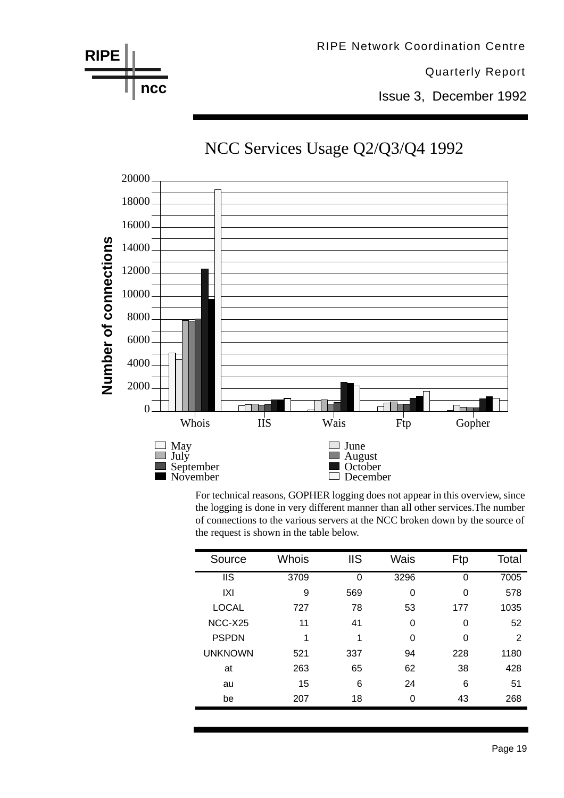

For technical reasons, GOPHER logging does not appear in this overview, since the logging is done in very different manner than all other services.The number of connections to the various servers at the NCC broken down by the source of the request is shown in the table below.

| Source                 | <b>Whois</b> | <b>IIS</b> | Wais     | Ftp      | Total |
|------------------------|--------------|------------|----------|----------|-------|
| $\overline{\text{II}}$ | 3709         | 0          | 3296     | 0        | 7005  |
| IXI                    | 9            | 569        | 0        | $\Omega$ | 578   |
| <b>LOCAL</b>           | 727          | 78         | 53       | 177      | 1035  |
| NCC-X25                | 11           | 41         | $\Omega$ | $\Omega$ | 52    |
| <b>PSPDN</b>           | 1            | 1          | $\Omega$ | $\Omega$ | 2     |
| <b>UNKNOWN</b>         | 521          | 337        | 94       | 228      | 1180  |
| at                     | 263          | 65         | 62       | 38       | 428   |
| au                     | 15           | 6          | 24       | 6        | 51    |
| be                     | 207          | 18         | $\Omega$ | 43       | 268   |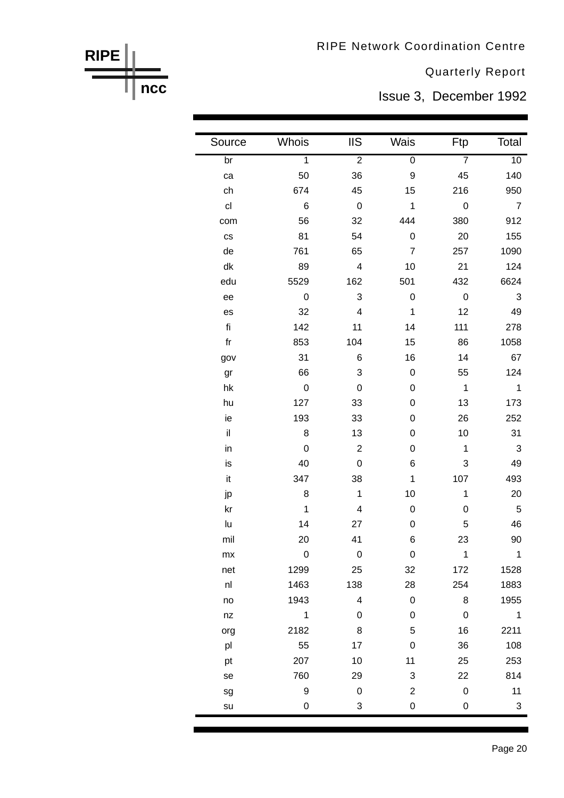**RIPE Network Coordination Centre** 

**Quarterly Report** 

Issue 3, December 1992

| Source               | Whois                   | <b>IIS</b>     | Wais             | Ftp                      | Total                      |
|----------------------|-------------------------|----------------|------------------|--------------------------|----------------------------|
| $\overline{b}$ r     | $\overline{1}$          | $\overline{2}$ | $\overline{0}$   | $\overline{7}$           | 10                         |
| ca                   | 50                      | 36             | 9                | 45                       | 140                        |
| ch                   | 674                     | 45             | 15               | 216                      | 950                        |
| c <sub>l</sub>       | $-6$                    | $\overline{0}$ | $\overline{1}$   | $\overline{\phantom{0}}$ | $\overline{7}$             |
| com                  | 56                      | 32             | 444              | 380                      | 912                        |
| $\mathsf{CS}\xspace$ | 81                      | 54             | $\mathbf 0$      | 20                       | 155                        |
| de                   | 761                     | 65             | $\overline{7}$   | 257                      | 1090                       |
| dk                   | 89                      | $\overline{4}$ | 10               | 21                       | 124                        |
| edu                  | 5529                    | 162            | 501              | 432                      | 6624                       |
| ee                   | $\overline{\mathbf{0}}$ | 3              | $\boldsymbol{0}$ | $\overline{\mathbf{0}}$  | $\mathbf{3}$               |
| es                   | 32                      | $\overline{4}$ | $\mathbf{1}$     | 12                       | 49                         |
| fi                   | 142                     | 11             | 14               | 111                      | 278                        |
| ${\sf fr}$           | 853                     | 104            | 15               | 86                       | 1058                       |
| gov                  | 31                      | 6              | 16               | 14                       | 67                         |
| gr                   | 66                      | 3              | $\mathbf 0$      | 55                       | 124                        |
| hk                   | $\overline{\mathbf{0}}$ | $\mathbf 0$    | 0                | $\overline{1}$           | $\overline{\phantom{0}}$ 1 |
| hu                   | 127                     | 33             | 0                | 13                       | 173                        |
| ie                   | 193                     | 33             | 0                | 26                       | 252                        |
| $\mathsf{il}$        | 8                       | 13             | 0                | 10                       | 31                         |
| in                   | $\overline{0}$          | $\overline{2}$ | 0                | $\mathbf{1}$             | $\mathbf{3}$               |
| is                   | 40                      | $\mathbf 0$    | 6                | 3                        | 49                         |
| it                   | 347                     | 38             | $\mathbf{1}$     | 107                      | 493                        |
| jp                   | 8                       | $\mathbf{1}$   | 10               | $\mathbf 1$              | 20                         |
| kr                   | $\overline{1}$          | $\overline{4}$ | 0                | 0                        | 5                          |
| lu                   | 14                      | 27             | 0                | 5                        | 46                         |
| mil                  | 20                      | 41             | 6                | 23                       | 90                         |
| mx                   | 0                       | 0              | 0                | 1                        | 1                          |
| net                  | 1299                    | 25             | 32               | 172                      | 1528                       |
| nl                   | 1463                    | 138            | 28               | 254                      | 1883                       |
| no                   | 1943                    | 4              | $\boldsymbol{0}$ | 8                        | 1955                       |
| nz                   | $\mathbf 1$             | $\pmb{0}$      | 0                | $\boldsymbol{0}$         | $\mathbf 1$                |
| org                  | 2182                    | 8              | 5                | 16                       | 2211                       |
| pl                   | 55                      | 17             | $\boldsymbol{0}$ | 36                       | 108                        |
| pt                   | 207                     | 10             | 11               | 25                       | 253                        |
| se                   | 760                     | 29             | 3                | 22                       | 814                        |
| sg                   | 9                       | $\pmb{0}$      | $\overline{c}$   | $\boldsymbol{0}$         | 11                         |
| su                   | 0                       | 3              | 0                | 0                        | 3                          |

**RIPE ncc**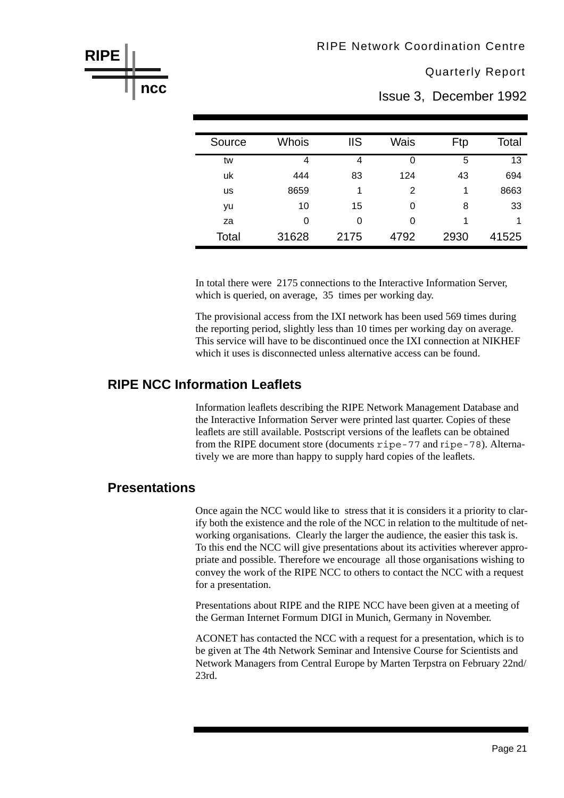Issue 3, December 1992

| Source | <b>Whois</b> | <b>IIS</b> | Wais | Ftp  | Total |
|--------|--------------|------------|------|------|-------|
| tw     | 4            | 4          | 0    | 5    | 13    |
| uk     | 444          | 83         | 124  | 43   | 694   |
| us     | 8659         | 1          | 2    | 1    | 8663  |
| yu     | 10           | 15         | 0    | 8    | 33    |
| za     | 0            | 0          | 0    | 1    | 1     |
| Total  | 31628        | 2175       | 4792 | 2930 | 41525 |

In total there were 2175 connections to the Interactive Information Server, which is queried, on average, 35 times per working day.

The provisional access from the IXI network has been used 569 times during the reporting period, slightly less than 10 times per working day on average. This service will have to be discontinued once the IXI connection at NIKHEF which it uses is disconnected unless alternative access can be found.

#### **RIPE NCC Information Leaflets**

Information leaflets describing the RIPE Network Management Database and the Interactive Information Server were printed last quarter. Copies of these leaflets are still available. Postscript versions of the leaflets can be obtained from the RIPE document store (documents ripe-77 and ripe-78). Alternatively we are more than happy to supply hard copies of the leaflets.

#### **Presentations**

**RIPE**

**ncc**

Once again the NCC would like to stress that it is considers it a priority to clarify both the existence and the role of the NCC in relation to the multitude of networking organisations. Clearly the larger the audience, the easier this task is. To this end the NCC will give presentations about its activities wherever appropriate and possible. Therefore we encourage all those organisations wishing to convey the work of the RIPE NCC to others to contact the NCC with a request for a presentation.

Presentations about RIPE and the RIPE NCC have been given at a meeting of the German Internet Formum DIGI in Munich, Germany in November.

ACONET has contacted the NCC with a request for a presentation, which is to be given at The 4th Network Seminar and Intensive Course for Scientists and Network Managers from Central Europe by Marten Terpstra on February 22nd/ 23rd.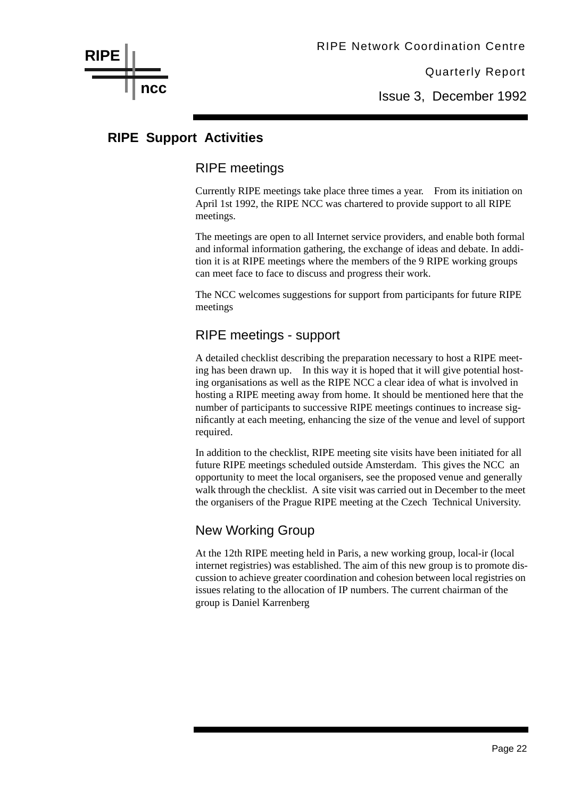Issue 3, December 1992

#### **RIPE Support Activities**

**ncc**

**RIPE**

#### RIPE meetings

Currently RIPE meetings take place three times a year. From its initiation on April 1st 1992, the RIPE NCC was chartered to provide support to all RIPE meetings.

The meetings are open to all Internet service providers, and enable both formal and informal information gathering, the exchange of ideas and debate. In addition it is at RIPE meetings where the members of the 9 RIPE working groups can meet face to face to discuss and progress their work.

The NCC welcomes suggestions for support from participants for future RIPE meetings

#### RIPE meetings - support

A detailed checklist describing the preparation necessary to host a RIPE meeting has been drawn up. In this way it is hoped that it will give potential hosting organisations as well as the RIPE NCC a clear idea of what is involved in hosting a RIPE meeting away from home. It should be mentioned here that the number of participants to successive RIPE meetings continues to increase significantly at each meeting, enhancing the size of the venue and level of support required.

In addition to the checklist, RIPE meeting site visits have been initiated for all future RIPE meetings scheduled outside Amsterdam. This gives the NCC an opportunity to meet the local organisers, see the proposed venue and generally walk through the checklist. A site visit was carried out in December to the meet the organisers of the Prague RIPE meeting at the Czech Technical University.

#### New Working Group

At the 12th RIPE meeting held in Paris, a new working group, local-ir (local internet registries) was established. The aim of this new group is to promote discussion to achieve greater coordination and cohesion between local registries on issues relating to the allocation of IP numbers. The current chairman of the group is Daniel Karrenberg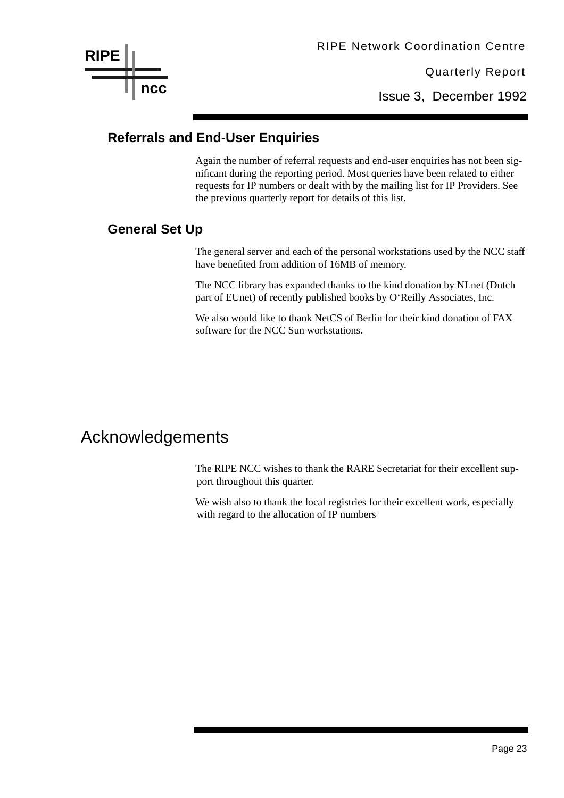Issue 3, December 1992

#### **Referrals and End-User Enquiries**

Again the number of referral requests and end-user enquiries has not been significant during the reporting period. Most queries have been related to either requests for IP numbers or dealt with by the mailing list for IP Providers. See the previous quarterly report for details of this list.

#### **General Set Up**

The general server and each of the personal workstations used by the NCC staff have benefited from addition of 16MB of memory.

The NCC library has expanded thanks to the kind donation by NLnet (Dutch part of EUnet) of recently published books by O'Reilly Associates, Inc.

We also would like to thank NetCS of Berlin for their kind donation of FAX software for the NCC Sun workstations.

### Acknowledgements

The RIPE NCC wishes to thank the RARE Secretariat for their excellent support throughout this quarter.

We wish also to thank the local registries for their excellent work, especially with regard to the allocation of IP numbers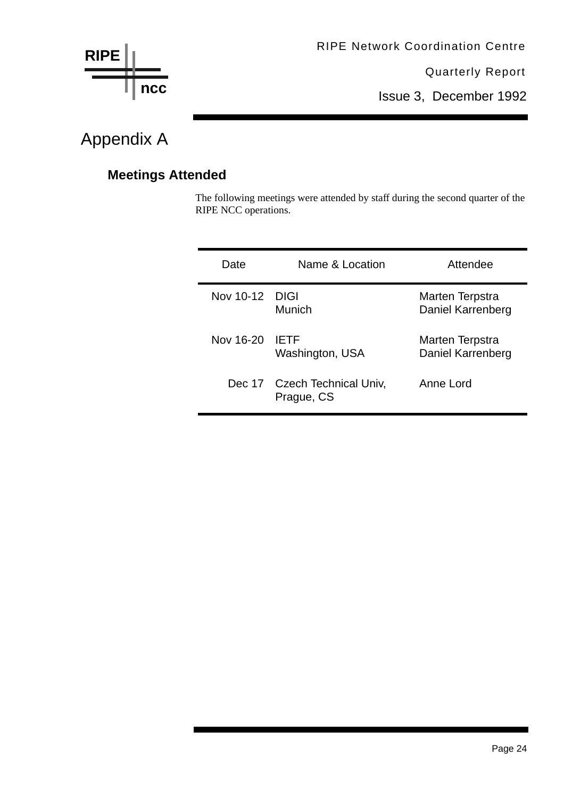

Issue 3, December 1992

### Appendix A

### **Meetings Attended**

The following meetings were attended by staff during the second quarter of the RIPE NCC operations.

| Date           | Name & Location                            | Attendee                             |
|----------------|--------------------------------------------|--------------------------------------|
| Nov 10-12 DIGI | Munich                                     | Marten Terpstra<br>Daniel Karrenberg |
| Nov 16-20      | <b>IFTE</b><br>Washington, USA             | Marten Terpstra<br>Daniel Karrenberg |
|                | Dec 17 Czech Technical Univ,<br>Prague, CS | Anne Lord                            |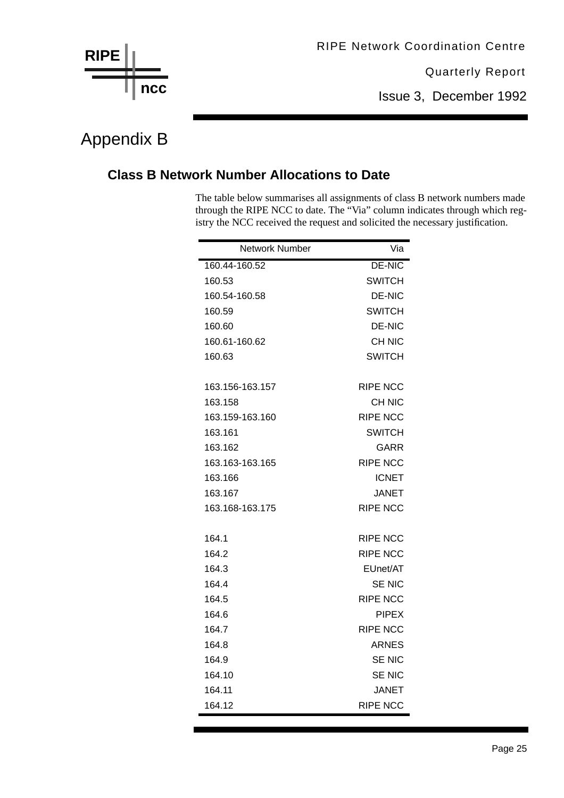

Issue 3, December 1992

### Appendix B

#### **Class B Network Number Allocations to Date**

The table below summarises all assignments of class B network numbers made through the RIPE NCC to date. The "Via" column indicates through which registry the NCC received the request and solicited the necessary justification.

| Network Number                                                                                              | Via                                                                                                                                                                                   |
|-------------------------------------------------------------------------------------------------------------|---------------------------------------------------------------------------------------------------------------------------------------------------------------------------------------|
| 160.44-160.52                                                                                               | <b>DE-NIC</b>                                                                                                                                                                         |
| 160.53                                                                                                      | <b>SWITCH</b>                                                                                                                                                                         |
| 160.54-160.58                                                                                               | <b>DE-NIC</b>                                                                                                                                                                         |
| 160.59                                                                                                      | SWITCH                                                                                                                                                                                |
| 160.60                                                                                                      | DE-NIC                                                                                                                                                                                |
| 160.61-160.62                                                                                               | CH NIC                                                                                                                                                                                |
| 160.63                                                                                                      | <b>SWITCH</b>                                                                                                                                                                         |
|                                                                                                             |                                                                                                                                                                                       |
| 163.156-163.157                                                                                             | <b>RIPE NCC</b>                                                                                                                                                                       |
| 163.158                                                                                                     | CH NIC                                                                                                                                                                                |
| 163.159-163.160                                                                                             | <b>RIPE NCC</b>                                                                                                                                                                       |
| 163.161                                                                                                     | SWITCH                                                                                                                                                                                |
| 163.162                                                                                                     | GARR                                                                                                                                                                                  |
| 163.163-163.165                                                                                             | <b>RIPE NCC</b>                                                                                                                                                                       |
| 163.166                                                                                                     | <b>ICNET</b>                                                                                                                                                                          |
| 163.167                                                                                                     | JANET                                                                                                                                                                                 |
| 163.168-163.175                                                                                             | <b>RIPE NCC</b>                                                                                                                                                                       |
|                                                                                                             |                                                                                                                                                                                       |
|                                                                                                             |                                                                                                                                                                                       |
|                                                                                                             |                                                                                                                                                                                       |
|                                                                                                             |                                                                                                                                                                                       |
|                                                                                                             |                                                                                                                                                                                       |
|                                                                                                             |                                                                                                                                                                                       |
|                                                                                                             |                                                                                                                                                                                       |
|                                                                                                             |                                                                                                                                                                                       |
|                                                                                                             |                                                                                                                                                                                       |
|                                                                                                             |                                                                                                                                                                                       |
|                                                                                                             |                                                                                                                                                                                       |
|                                                                                                             |                                                                                                                                                                                       |
| 164.1<br>164.2<br>164.3<br>164.4<br>164.5<br>164.6<br>164.7<br>164.8<br>164.9<br>164.10<br>164.11<br>164.12 | <b>RIPE NCC</b><br><b>RIPE NCC</b><br>EUnet/AT<br>SE NIC<br><b>RIPE NCC</b><br><b>PIPEX</b><br><b>RIPE NCC</b><br><b>ARNES</b><br><b>SE NIC</b><br>SE NIC<br>JANET<br><b>RIPE NCC</b> |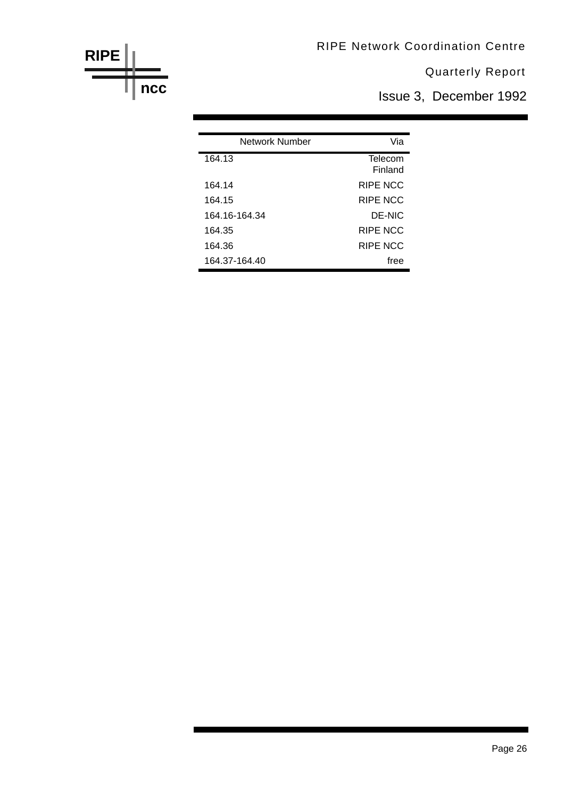RIPE Network Coordination Centre

Quarterly Report

Issue 3, December 1992

| Network Number | Via             |
|----------------|-----------------|
| 164.13         | Telecom         |
|                | Finland         |
| 164.14         | RIPE NCC        |
| 164.15         | RIPE NCC        |
| 164 16-164 34  | DE-NIC          |
| 164.35         | RIPE NCC        |
| 164.36         | <b>RIPE NCC</b> |
| 164.37-164.40  | free            |

**RIPE**

**ncc**

### Page 26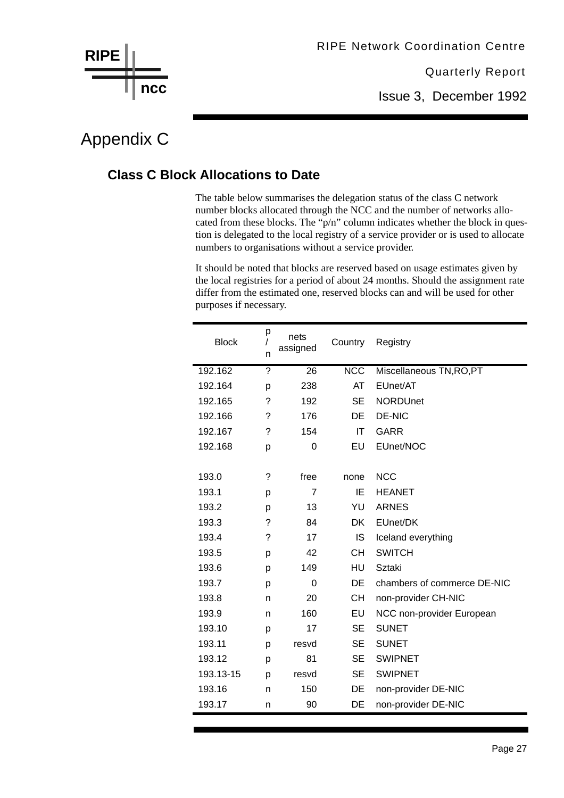

Issue 3, December 1992

### Appendix C

#### **Class C Block Allocations to Date**

The table below summarises the delegation status of the class C network number blocks allocated through the NCC and the number of networks allocated from these blocks. The "p/n" column indicates whether the block in question is delegated to the local registry of a service provider or is used to allocate numbers to organisations without a service provider.

It should be noted that blocks are reserved based on usage estimates given by the local registries for a period of about 24 months. Should the assignment rate differ from the estimated one, reserved blocks can and will be used for other purposes if necessary.

| <b>Block</b> | р<br>n | nets<br>assigned | Country                 | Registry                    |
|--------------|--------|------------------|-------------------------|-----------------------------|
| 192.162      | ?      | 26               | $\overline{\text{NCC}}$ | Miscellaneous TN, RO, PT    |
| 192.164      | p      | 238              | AT                      | EUnet/AT                    |
| 192.165      | ?      | 192              | <b>SE</b>               | <b>NORDUnet</b>             |
| 192.166      | ?      | 176              | DE                      | <b>DE-NIC</b>               |
| 192.167      | ?      | 154              | IT                      | <b>GARR</b>                 |
| 192.168      | р      | 0                | EU                      | EUnet/NOC                   |
|              |        |                  |                         |                             |
| 193.0        | ?      | free             | none                    | <b>NCC</b>                  |
| 193.1        | p      | $\overline{7}$   | IE                      | <b>HEANET</b>               |
| 193.2        | p      | 13               | YU                      | <b>ARNES</b>                |
| 193.3        | ?      | 84               | <b>DK</b>               | EUnet/DK                    |
| 193.4        | ?      | 17               | IS                      | Iceland everything          |
| 193.5        | p      | 42               | <b>CH</b>               | <b>SWITCH</b>               |
| 193.6        | р      | 149              | HU                      | Sztaki                      |
| 193.7        | р      | 0                | DE                      | chambers of commerce DE-NIC |
| 193.8        | n      | 20               | <b>CH</b>               | non-provider CH-NIC         |
| 193.9        | n      | 160              | EU                      | NCC non-provider European   |
| 193.10       | p      | 17               | <b>SE</b>               | <b>SUNET</b>                |
| 193.11       | р      | resvd            | <b>SE</b>               | <b>SUNET</b>                |
| 193.12       | p      | 81               | SE                      | <b>SWIPNET</b>              |
| 193.13-15    | p      | resvd            | <b>SE</b>               | <b>SWIPNET</b>              |
| 193.16       | n      | 150              | DE                      | non-provider DE-NIC         |
| 193.17       | n      | 90               | DE                      | non-provider DE-NIC         |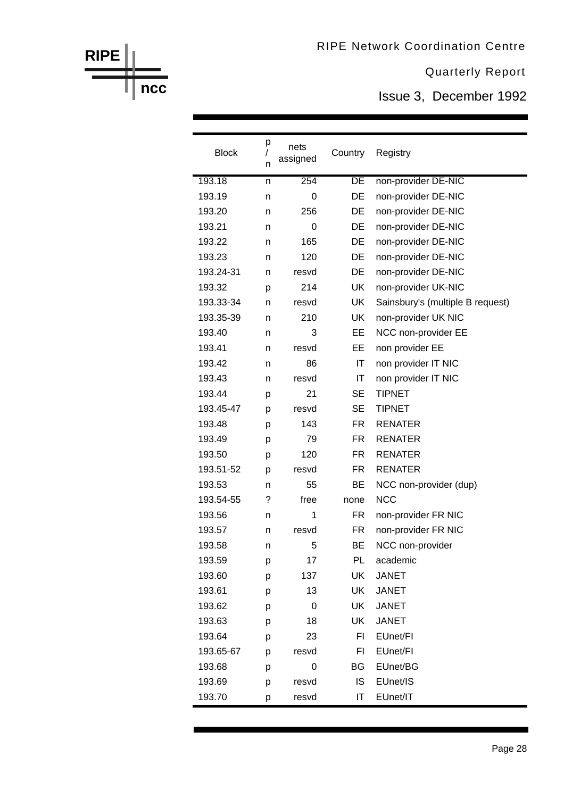Issue 3, December 1992

| <b>Block</b> | р<br>n | nets<br>assigned | Country                | Registry                         |
|--------------|--------|------------------|------------------------|----------------------------------|
| 193.18       | n      | 254              | DE                     | non-provider DE-NIC              |
| 193.19       | n      | 0                | DE                     | non-provider DE-NIC              |
| 193.20       | n      | 256              | <b>DE</b>              | non-provider DE-NIC              |
| 193.21       | n      | 0                | DE                     | non-provider DE-NIC              |
| 193.22       | n      | 165              | DE                     | non-provider DE-NIC              |
| 193.23       | n      | 120              | DE                     | non-provider DE-NIC              |
| 193.24-31    | n      | resvd            | DE                     | non-provider DE-NIC              |
| 193.32       | p      | 214              | <b>UK</b>              | non-provider UK-NIC              |
| 193.33-34    | n      | resvd            | <b>UK</b>              | Sainsbury's (multiple B request) |
| 193.35-39    | n      | 210              | <b>UK</b>              | non-provider UK NIC              |
| 193.40       | n      | 3                | EЕ                     | NCC non-provider EE              |
| 193.41       | n      | resvd            | EE                     | non provider EE                  |
| 193.42       | n      | 86               | $\mathsf{I}\mathsf{T}$ | non provider IT NIC              |
| 193.43       | n      | resvd            | IT                     | non provider IT NIC              |
| 193.44       | р      | 21               | <b>SE</b>              | <b>TIPNET</b>                    |
| 193.45-47    | p      | resvd            | SE                     | <b>TIPNET</b>                    |
| 193.48       | p      | 143              | FR.                    | <b>RENATER</b>                   |
| 193.49       | p      | 79               | FR.                    | <b>RENATER</b>                   |
| 193.50       | p      | 120              | FR.                    | <b>RENATER</b>                   |
| 193.51-52    | p      | resvd            | FR.                    | <b>RENATER</b>                   |
| 193.53       | n      | 55               | BЕ                     | NCC non-provider (dup)           |
| 193.54-55    | ?      | free             | none                   | <b>NCC</b>                       |
| 193.56       | n      | 1                | FR.                    | non-provider FR NIC              |
| 193.57       | n      | resvd            | FR.                    | non-provider FR NIC              |
| 193.58       | n      | 5                | ВE                     | NCC non-provider                 |
| 193.59       | р      | 17               | PL                     | academic                         |
| 193.60       | р      | 137              | UK                     | <b>JANET</b>                     |
| 193.61       | p      | 13               | <b>UK</b>              | <b>JANET</b>                     |
| 193.62       | p      | $\mathbf 0$      | UK                     | <b>JANET</b>                     |
| 193.63       | р      | 18               | UK                     | <b>JANET</b>                     |
| 193.64       | p      | 23               | FI                     | EUnet/FI                         |
| 193.65-67    | p      | resvd            | FI                     | EUnet/FI                         |
| 193.68       | р      | 0                | BG                     | EUnet/BG                         |
| 193.69       | p      | resvd            | IS                     | EUnet/IS                         |
| 193.70       | р      | resvd            | IT                     | EUnet/IT                         |

**ncc**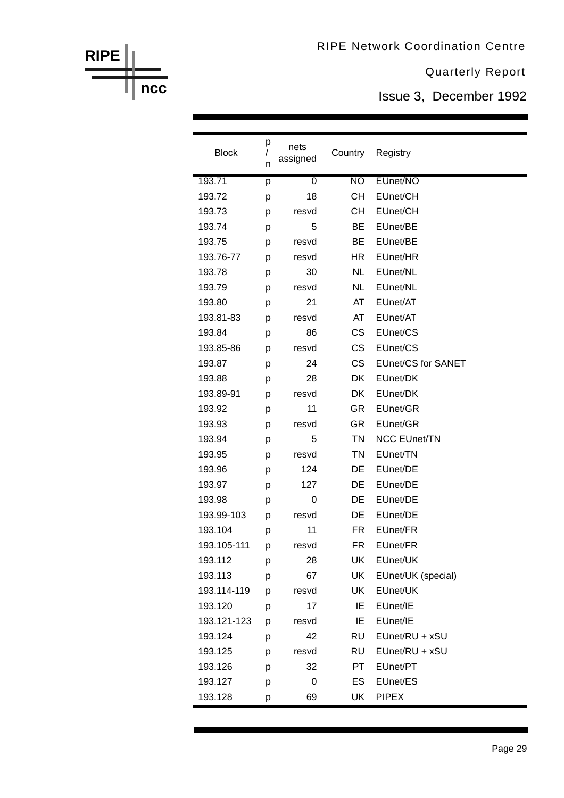Issue 3, December 1992

| <b>Block</b> | р<br>$\sqrt{2}$<br>n | nets<br>assigned | Country         | Registry                  |
|--------------|----------------------|------------------|-----------------|---------------------------|
| 193.71       | р                    | $\boldsymbol{0}$ | $\overline{NO}$ | EUnet/NO                  |
| 193.72       | p                    | 18               | <b>CH</b>       | EUnet/CH                  |
| 193.73       | р                    | resvd            | CН              | EUnet/CH                  |
| 193.74       | р                    | 5                | <b>BE</b>       | EUnet/BE                  |
| 193.75       | p                    | resvd            | BE              | EUnet/BE                  |
| 193.76-77    | р                    | resvd            | HR.             | EUnet/HR                  |
| 193.78       | р                    | 30               | <b>NL</b>       | EUnet/NL                  |
| 193.79       | p                    | resvd            | <b>NL</b>       | EUnet/NL                  |
| 193.80       | р                    | 21               | AT              | EUnet/AT                  |
| 193.81-83    | p                    | resvd            | AT              | EUnet/AT                  |
| 193.84       | p                    | 86               | <b>CS</b>       | EUnet/CS                  |
| 193.85-86    | p                    | resvd            | <b>CS</b>       | EUnet/CS                  |
| 193.87       | р                    | 24               | <b>CS</b>       | <b>EUnet/CS for SANET</b> |
| 193.88       | p                    | 28               | DK              | EUnet/DK                  |
| 193.89-91    | p                    | resvd            | DK              | EUnet/DK                  |
| 193.92       | р                    | 11               | <b>GR</b>       | EUnet/GR                  |
| 193.93       | p                    | resvd            | <b>GR</b>       | EUnet/GR                  |
| 193.94       | р                    | 5                | <b>TN</b>       | <b>NCC EUnet/TN</b>       |
| 193.95       | p                    | resvd            | <b>TN</b>       | EUnet/TN                  |
| 193.96       | p                    | 124              | DE              | EUnet/DE                  |
| 193.97       | р                    | 127              | DE              | EUnet/DE                  |
| 193.98       | р                    | 0                | DE              | EUnet/DE                  |
| 193.99-103   | p                    | resvd            | DE              | EUnet/DE                  |
| 193.104      | p                    | 11               | <b>FR</b>       | EUnet/FR                  |
| 193.105-111  | p                    | resvd            | FR.             | EUnet/FR                  |
| 193.112      | p                    | 28               | UK              | EUnet/UK                  |
| 193.113      | р                    | 67               | UK              | EUnet/UK (special)        |
| 193.114-119  | р                    | resvd            | UK              | EUnet/UK                  |
| 193.120      | p                    | 17               | IE              | EUnet/IE                  |
| 193.121-123  | p                    | resvd            | IE              | EUnet/IE                  |
| 193.124      | р                    | 42               | <b>RU</b>       | EUnet/RU + xSU            |
| 193.125      | p                    | resvd            | <b>RU</b>       | EUnet/RU + xSU            |
| 193.126      | р                    | 32               | PT              | EUnet/PT                  |
| 193.127      | р                    | 0                | ES              | EUnet/ES                  |
| 193.128      | р                    | 69               | UK              | <b>PIPEX</b>              |

### **ncc**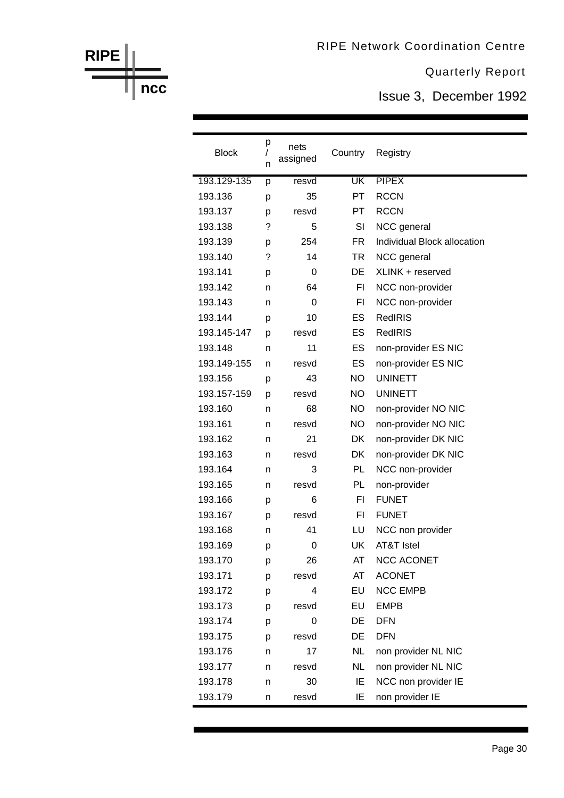Issue 3, December 1992

| <b>Block</b> | р<br>$\sqrt{2}$<br>n | nets<br>assigned | Country   | Registry                    |
|--------------|----------------------|------------------|-----------|-----------------------------|
| 193.129-135  | p                    | resvd            | <b>UK</b> | <b>PIPEX</b>                |
| 193.136      | p                    | 35               | <b>PT</b> | <b>RCCN</b>                 |
| 193.137      | p                    | resvd            | PT.       | <b>RCCN</b>                 |
| 193.138      | ?                    | 5                | SI        | NCC general                 |
| 193.139      | p                    | 254              | <b>FR</b> | Individual Block allocation |
| 193.140      | ?                    | 14               | TR        | NCC general                 |
| 193.141      | p                    | 0                | DE        | XLINK + reserved            |
| 193.142      | n                    | 64               | F1        | NCC non-provider            |
| 193.143      | n                    | 0                | FI        | NCC non-provider            |
| 193.144      | p                    | 10               | ES        | <b>RedIRIS</b>              |
| 193.145-147  | р                    | resvd            | ES        | <b>RedIRIS</b>              |
| 193.148      | n                    | 11               | ES        | non-provider ES NIC         |
| 193.149-155  | n                    | resvd            | ES        | non-provider ES NIC         |
| 193.156      | р                    | 43               | NO.       | <b>UNINETT</b>              |
| 193.157-159  | р                    | resvd            | NO.       | <b>UNINETT</b>              |
| 193.160      | n                    | 68               | <b>NO</b> | non-provider NO NIC         |
| 193.161      | n                    | resvd            | NO.       | non-provider NO NIC         |
| 193.162      | n                    | 21               | DK        | non-provider DK NIC         |
| 193.163      | n                    | resvd            | DK        | non-provider DK NIC         |
| 193.164      | n                    | 3                | PL        | NCC non-provider            |
| 193.165      | n                    | resvd            | PL        | non-provider                |
| 193.166      | р                    | 6                | F1        | <b>FUNET</b>                |
| 193.167      | р                    | resvd            | FI        | <b>FUNET</b>                |
| 193.168      | n                    | 41               | LU        | NCC non provider            |
| 193.169      | p                    | 0                | UK        | AT&T Istel                  |
| 193.170      | р                    | 26               | AT        | <b>NCC ACONET</b>           |
| 193.171      | p                    | resvd            | AT        | <b>ACONET</b>               |
| 193.172      | p                    | 4                | EU        | <b>NCC EMPB</b>             |
| 193.173      | р                    | resvd            | EU        | <b>EMPB</b>                 |
| 193.174      | р                    | 0                | DE        | <b>DFN</b>                  |
| 193.175      | p                    | resvd            | DE        | <b>DFN</b>                  |
| 193.176      | n                    | 17               | <b>NL</b> | non provider NL NIC         |
| 193.177      | n                    | resvd            | <b>NL</b> | non provider NL NIC         |
| 193.178      | n                    | 30               | IE        | NCC non provider IE         |
| 193.179      | n                    | resvd            | IE        | non provider IE             |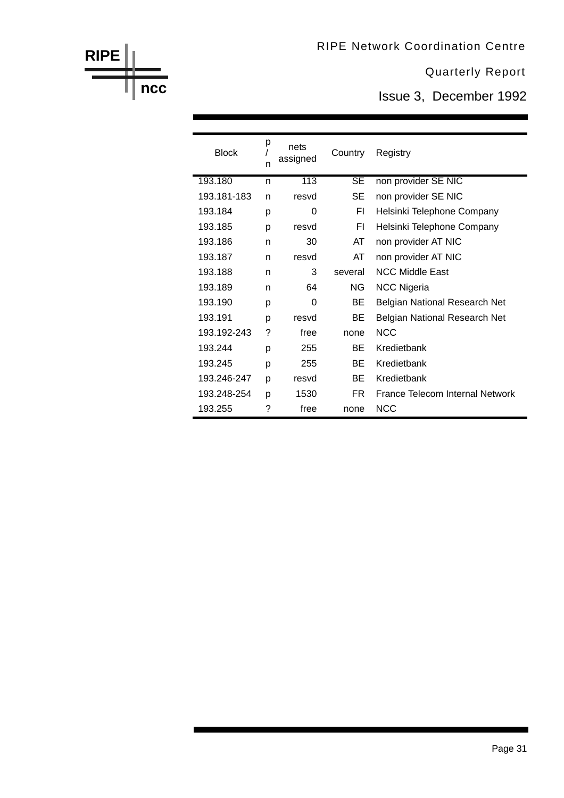Issue 3, December 1992

| <b>Block</b> | р<br>n | nets<br>assigned | Country   | Registry                             |
|--------------|--------|------------------|-----------|--------------------------------------|
| 193.180      | n      | 113              | <b>SE</b> | non provider SE NIC                  |
| 193.181-183  | n      | resvd            | SE        | non provider SE NIC                  |
| 193.184      | р      | 0                | FI        | Helsinki Telephone Company           |
| 193.185      | р      | resvd            | FI        | Helsinki Telephone Company           |
| 193.186      | n      | 30               | AT        | non provider AT NIC                  |
| 193.187      | n      | resvd            | AT        | non provider AT NIC                  |
| 193.188      | n      | 3                | several   | <b>NCC Middle East</b>               |
| 193.189      | n      | 64               | NG.       | <b>NCC Nigeria</b>                   |
| 193.190      | р      | 0                | BE.       | <b>Belgian National Research Net</b> |
| 193.191      | р      | resvd            | BE.       | Belgian National Research Net        |
| 193.192-243  | ?      | free             | none      | <b>NCC</b>                           |
| 193.244      | p      | 255              | <b>BF</b> | Kredietbank                          |
| 193.245      | р      | 255              | BE.       | Kredietbank                          |
| 193.246-247  | p      | resvd            | <b>BF</b> | Kredietbank                          |
| 193.248-254  | р      | 1530             | FR.       | France Telecom Internal Network      |
| 193.255      | ?      | free             | none      | <b>NCC</b>                           |

**RIPE**

**ncc**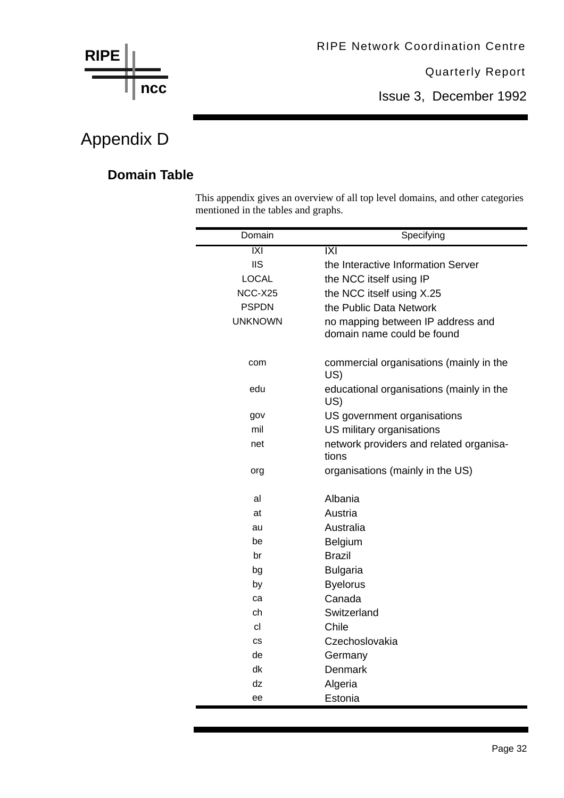

Issue 3, December 1992

### Appendix D

#### **Domain Table**

This appendix gives an overview of all top level domains, and other categories mentioned in the tables and graphs.

| Domain         | Specifying                                                      |
|----------------|-----------------------------------------------------------------|
| IXI            | IXI                                                             |
| <b>IIS</b>     | the Interactive Information Server                              |
| <b>LOCAL</b>   | the NCC itself using IP                                         |
| NCC-X25        | the NCC itself using X.25                                       |
| <b>PSPDN</b>   | the Public Data Network                                         |
| <b>UNKNOWN</b> | no mapping between IP address and<br>domain name could be found |
| com            | commercial organisations (mainly in the<br>US)                  |
| edu            | educational organisations (mainly in the<br>US)                 |
| gov            | US government organisations                                     |
| mil            | US military organisations                                       |
| net            | network providers and related organisa-<br>tions                |
| org            | organisations (mainly in the US)                                |
| al             | Albania                                                         |
| at             | Austria                                                         |
| au             | Australia                                                       |
| be             | Belgium                                                         |
| br             | <b>Brazil</b>                                                   |
| bg             | <b>Bulgaria</b>                                                 |
| by             | <b>Byelorus</b>                                                 |
| ca             | Canada                                                          |
| ch             | Switzerland                                                     |
| cl             | Chile                                                           |
| <b>CS</b>      | Czechoslovakia                                                  |
| de             | Germany                                                         |
| dk             | Denmark                                                         |
| dz             | Algeria                                                         |
| ee             | Estonia                                                         |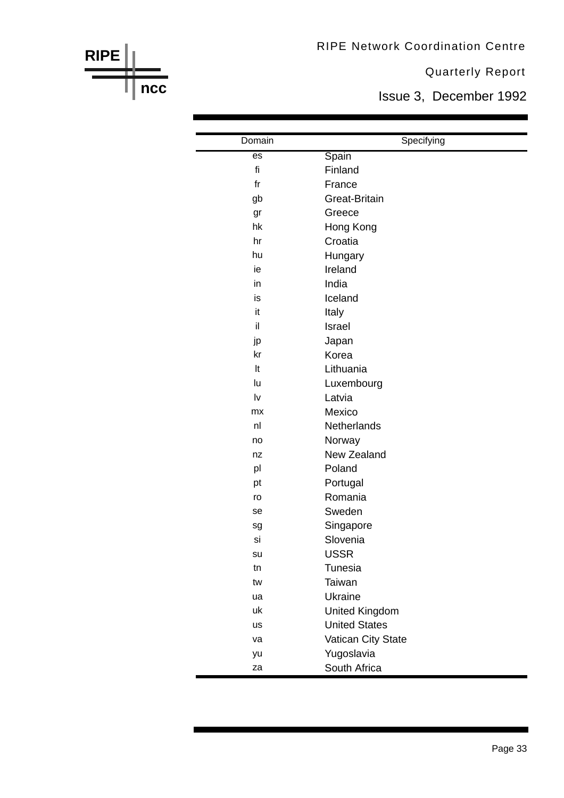RIPE Network Coordination Centre

**RIPE**

**ncc**

Quarterly Report

Issue 3, December 1992

| Domain          | Specifying           |
|-----------------|----------------------|
| $\overline{es}$ | Spain                |
| fi              | Finland              |
| fr              | France               |
| gb              | Great-Britain        |
| gr              | Greece               |
| hk              | Hong Kong            |
| hr              | Croatia              |
| hu              | Hungary              |
| ie              | Ireland              |
| in              | India                |
| is              | Iceland              |
| it              | Italy                |
| il              | Israel               |
| jp              | Japan                |
| kr              | Korea                |
| It              | Lithuania            |
| lu              | Luxembourg           |
| lv              | Latvia               |
| <b>mx</b>       | Mexico               |
| nl              | Netherlands          |
| no              | Norway               |
| nz              | New Zealand          |
| pl              | Poland               |
| pt              | Portugal             |
| ro              | Romania              |
| se              | Sweden               |
| sg              | Singapore            |
| si              | Slovenia             |
| su              | <b>USSR</b>          |
| tn              | Tunesia              |
| tw              | Taiwan               |
| ua              | Ukraine              |
| uk              | United Kingdom       |
| us              | <b>United States</b> |
| va              | Vatican City State   |
| yu              | Yugoslavia           |
| za              | South Africa         |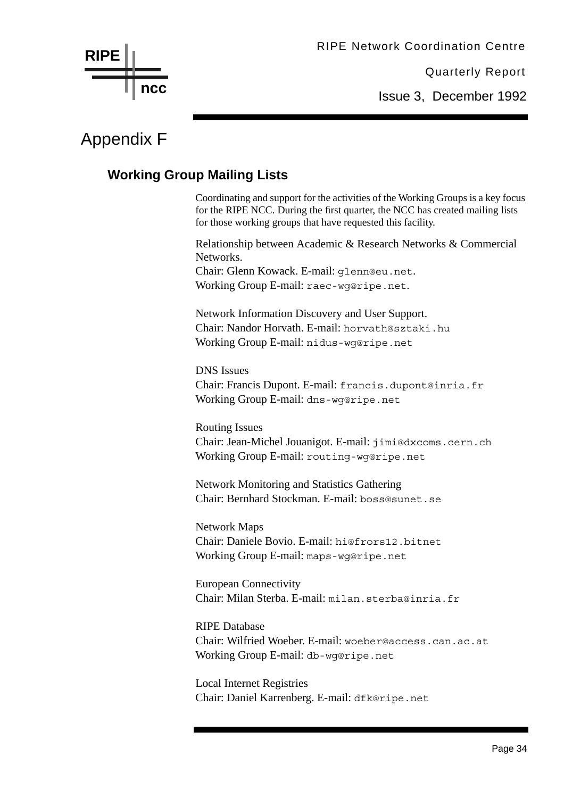Issue 3, December 1992

### Appendix F

#### **Working Group Mailing Lists**

Coordinating and support for the activities of the Working Groups is a key focus for the RIPE NCC. During the first quarter, the NCC has created mailing lists for those working groups that have requested this facility.

Relationship between Academic & Research Networks & Commercial Networks.

Chair: Glenn Kowack. E-mail: glenn@eu.net. Working Group E-mail: raec-wg@ripe.net.

Network Information Discovery and User Support. Chair: Nandor Horvath. E-mail: horvath@sztaki.hu Working Group E-mail: nidus-wg@ripe.net

DNS Issues Chair: Francis Dupont. E-mail: francis.dupont@inria.fr Working Group E-mail: dns-wg@ripe.net

Routing Issues Chair: Jean-Michel Jouanigot. E-mail: jimi@dxcoms.cern.ch Working Group E-mail: routing-wg@ripe.net

Network Monitoring and Statistics Gathering Chair: Bernhard Stockman. E-mail: boss@sunet.se

Network Maps Chair: Daniele Bovio. E-mail: hi@frors12.bitnet Working Group E-mail: maps-wg@ripe.net

European Connectivity Chair: Milan Sterba. E-mail: milan.sterba@inria.fr

RIPE Database Chair: Wilfried Woeber. E-mail: woeber@access.can.ac.at Working Group E-mail: db-wg@ripe.net

Local Internet Registries Chair: Daniel Karrenberg. E-mail: dfk@ripe.net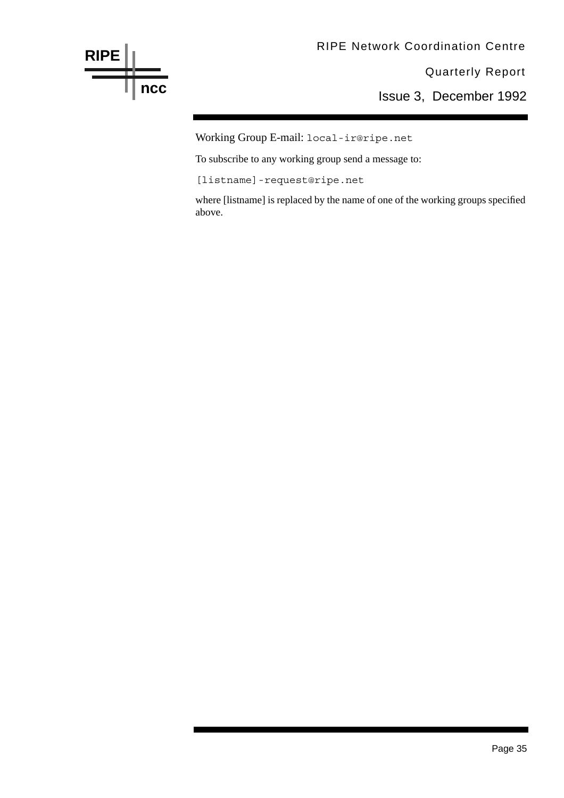

Working Group E-mail: local-ir@ripe.net

To subscribe to any working group send a message to:

[listname]-request@ripe.net

where [listname] is replaced by the name of one of the working groups specified above.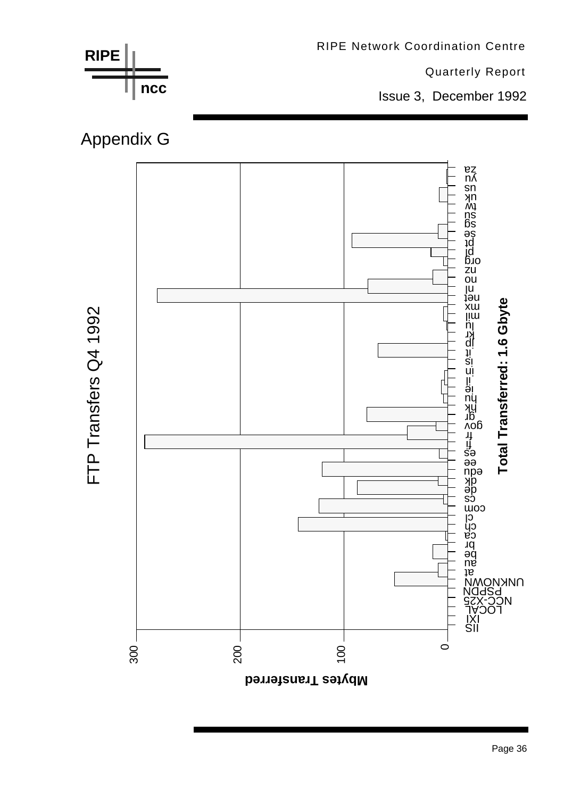

Page 36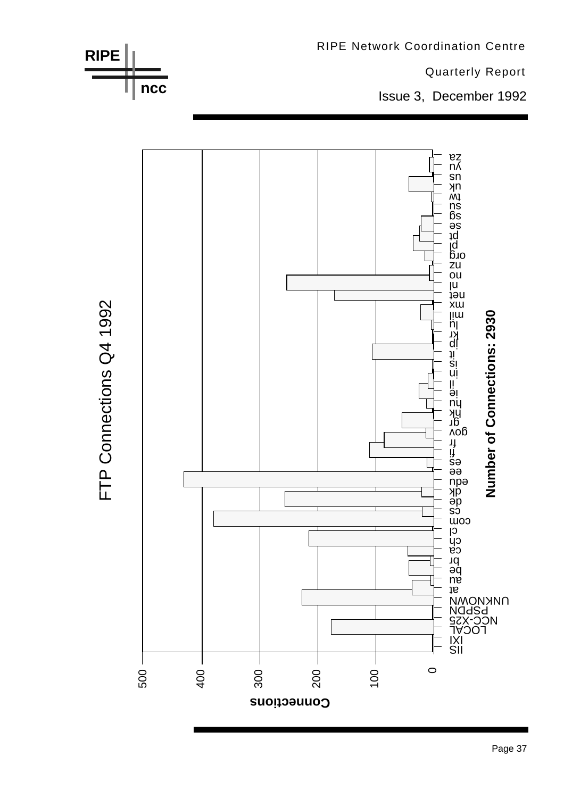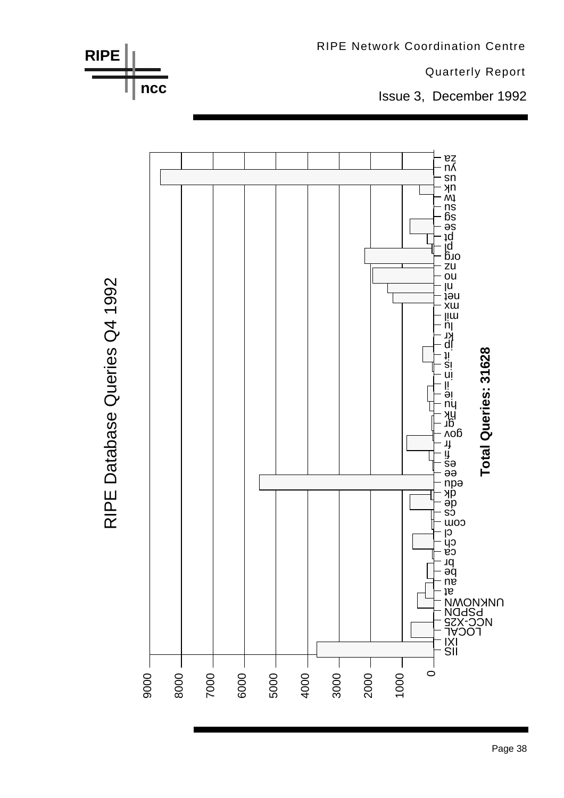

Page 38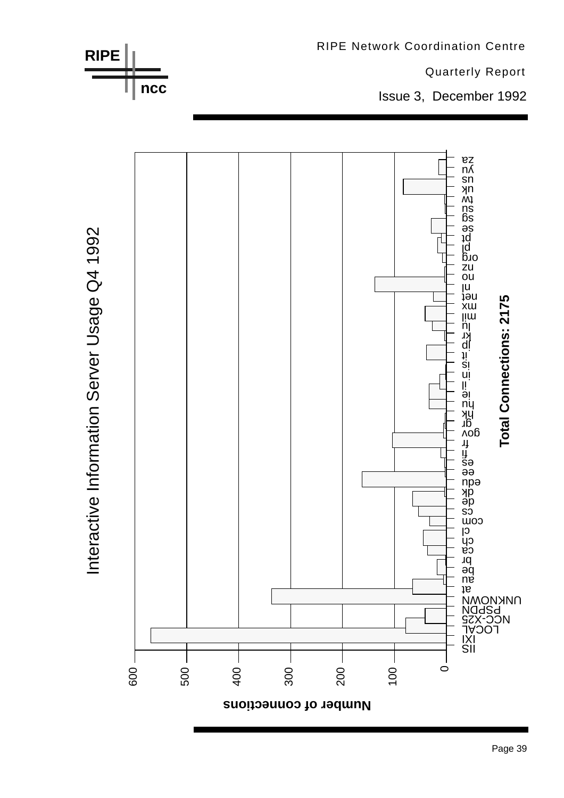



Interactive Information Server Usage Q4 1992 Interactive Information Server Usage Q4 1992 RIPE Network Coordination Centre

Quarterly Report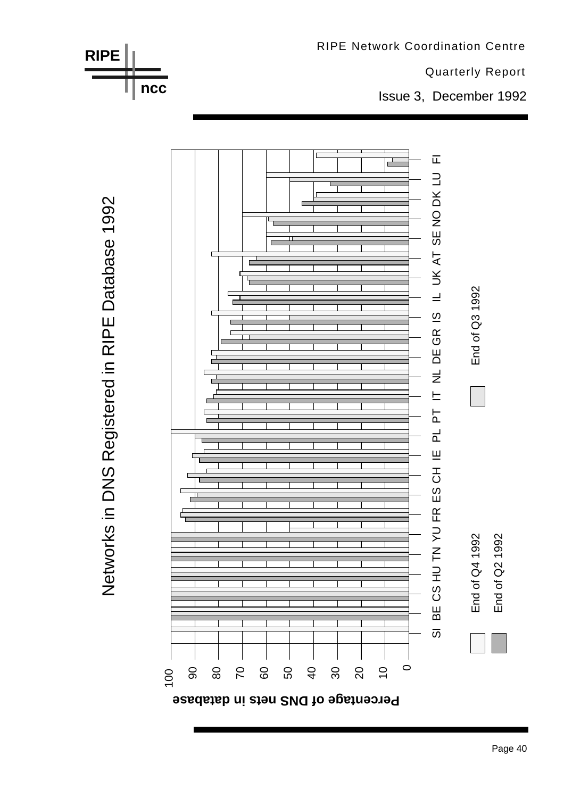

Networks in DNS Registered in RIPE Database 1992 Networks in DNS Registered in RIPE Database 1992

**RIPE**

**ncc**



Quarterly Report

Issue 3, December 1992